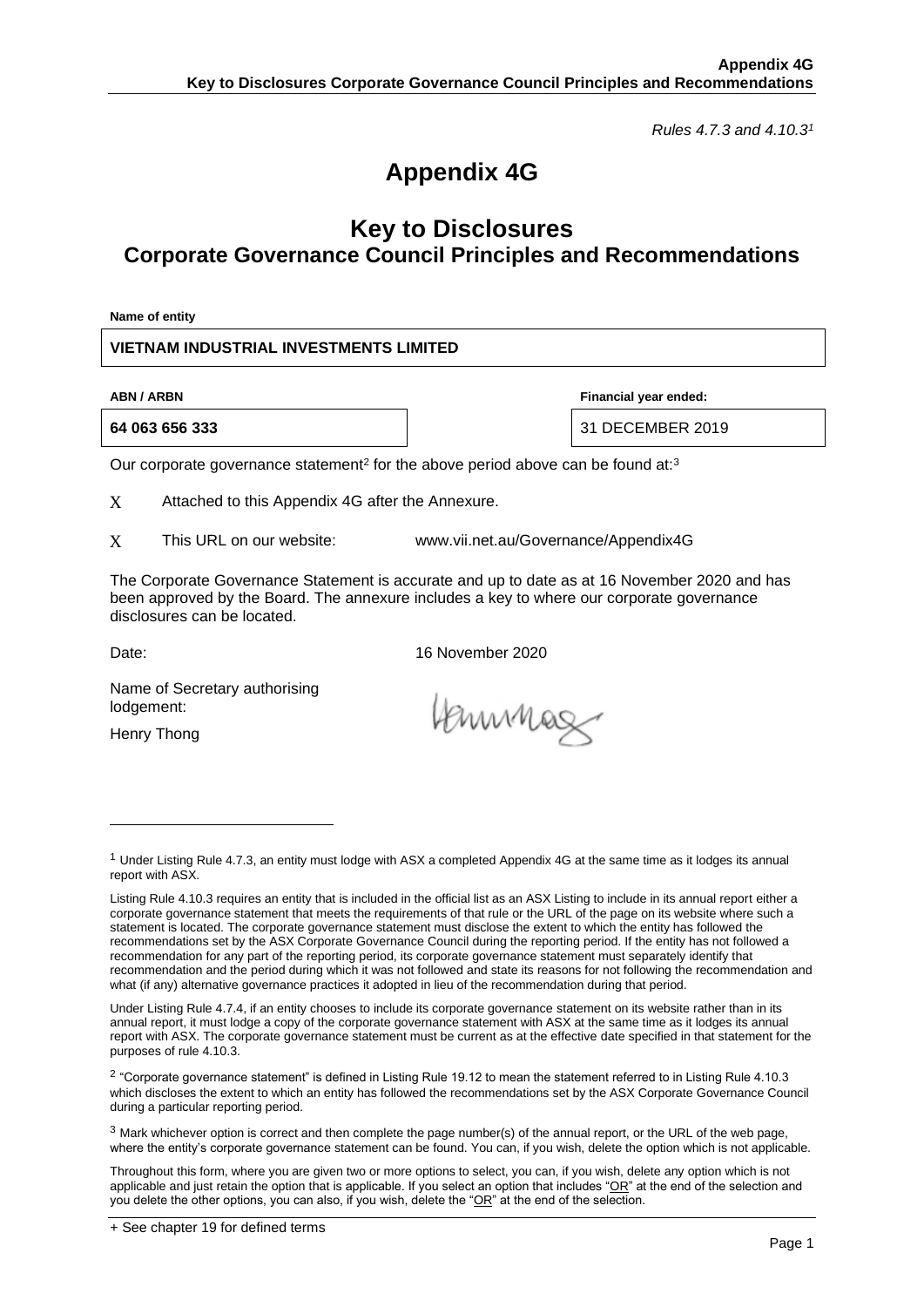*Rules 4.7.3 and 4.10.3<sup>1</sup>*

# **Appendix 4G**

## **Key to Disclosures Corporate Governance Council Principles and Recommendations**

**Name of entity**

**VIETNAM INDUSTRIAL INVESTMENTS LIMITED**

**64 063 656 333** 31 DECEMBER 2019

**ABN / ARBN Financial year ended:**

Our corporate governance statement<sup>2</sup> for the above period above can be found at:<sup>3</sup>

X Attached to this Appendix 4G after the Annexure.

X This URL on our website: www.vii.net.au/Governance/Appendix4G

The Corporate Governance Statement is accurate and up to date as at 16 November 2020 and has been approved by the Board. The annexure includes a key to where our corporate governance disclosures can be located.

Date: 2020

Name of Secretary authorising lodgement:

Henry Thong

Hennmag

 $1$  Under Listing Rule 4.7.3, an entity must lodge with ASX a completed Appendix 4G at the same time as it lodges its annual report with ASX.

Listing Rule 4.10.3 requires an entity that is included in the official list as an ASX Listing to include in its annual report either a corporate governance statement that meets the requirements of that rule or the URL of the page on its website where such a statement is located. The corporate governance statement must disclose the extent to which the entity has followed the recommendations set by the ASX Corporate Governance Council during the reporting period. If the entity has not followed a recommendation for any part of the reporting period, its corporate governance statement must separately identify that recommendation and the period during which it was not followed and state its reasons for not following the recommendation and what (if any) alternative governance practices it adopted in lieu of the recommendation during that period.

Under Listing Rule 4.7.4, if an entity chooses to include its corporate governance statement on its website rather than in its annual report, it must lodge a copy of the corporate governance statement with ASX at the same time as it lodges its annual report with ASX. The corporate governance statement must be current as at the effective date specified in that statement for the purposes of rule 4.10.3.

 $^2$  "Corporate governance statement" is defined in Listing Rule 19.12 to mean the statement referred to in Listing Rule 4.10.3 which discloses the extent to which an entity has followed the recommendations set by the ASX Corporate Governance Council during a particular reporting period.

 $3$  Mark whichever option is correct and then complete the page number(s) of the annual report, or the URL of the web page, where the entity's corporate governance statement can be found. You can, if you wish, delete the option which is not applicable.

Throughout this form, where you are given two or more options to select, you can, if you wish, delete any option which is not applicable and just retain the option that is applicable. If you select an option that includes "OR" at the end of the selection and you delete the other options, you can also, if you wish, delete the "OR" at the end of the selection.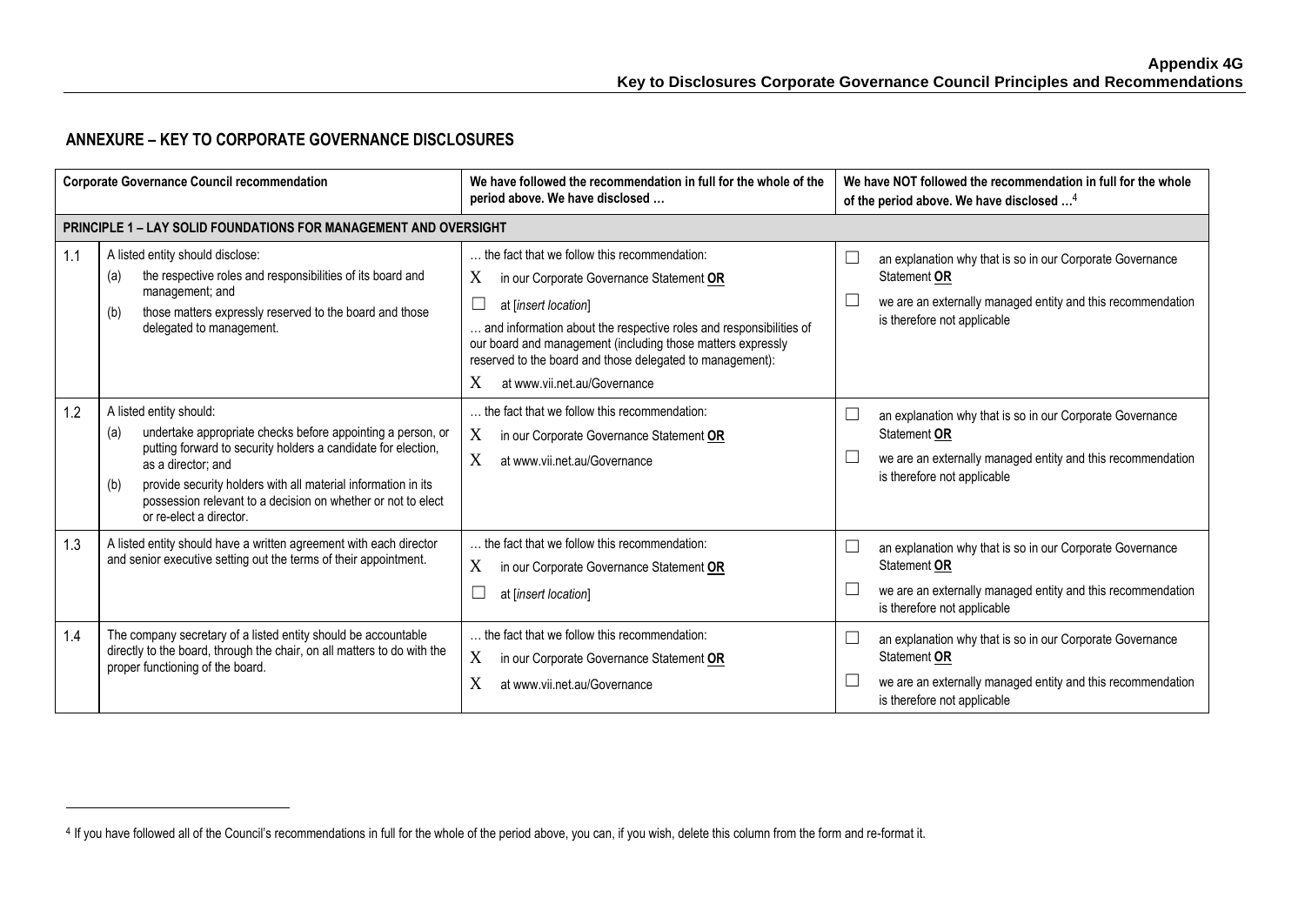## **ANNEXURE – KEY TO CORPORATE GOVERNANCE DISCLOSURES**

| <b>Corporate Governance Council recommendation</b> |                                                                                                                                                                                                                                                                                                                                                         | We have followed the recommendation in full for the whole of the<br>period above. We have disclosed                                                                                                                                                                                                                                                                    | We have NOT followed the recommendation in full for the whole<br>of the period above. We have disclosed <sup>4</sup>                                                         |  |
|----------------------------------------------------|---------------------------------------------------------------------------------------------------------------------------------------------------------------------------------------------------------------------------------------------------------------------------------------------------------------------------------------------------------|------------------------------------------------------------------------------------------------------------------------------------------------------------------------------------------------------------------------------------------------------------------------------------------------------------------------------------------------------------------------|------------------------------------------------------------------------------------------------------------------------------------------------------------------------------|--|
|                                                    | <b>PRINCIPLE 1 - LAY SOLID FOUNDATIONS FOR MANAGEMENT AND OVERSIGHT</b>                                                                                                                                                                                                                                                                                 |                                                                                                                                                                                                                                                                                                                                                                        |                                                                                                                                                                              |  |
| 1.1                                                | A listed entity should disclose:<br>the respective roles and responsibilities of its board and<br>(a)<br>management; and<br>those matters expressly reserved to the board and those<br>(b)<br>delegated to management.                                                                                                                                  | the fact that we follow this recommendation:<br>X<br>in our Corporate Governance Statement OR<br>$\Box$<br>at [insert location]<br>and information about the respective roles and responsibilities of<br>our board and management (including those matters expressly<br>reserved to the board and those delegated to management):<br>X<br>at www.vii.net.au/Governance | an explanation why that is so in our Corporate Governance<br>Statement OR<br>we are an externally managed entity and this recommendation<br>is therefore not applicable      |  |
| 1.2                                                | A listed entity should:<br>undertake appropriate checks before appointing a person, or<br>(a)<br>putting forward to security holders a candidate for election,<br>as a director; and<br>provide security holders with all material information in its<br>(b)<br>possession relevant to a decision on whether or not to elect<br>or re-elect a director. | the fact that we follow this recommendation:<br>X<br>in our Corporate Governance Statement OR<br>X<br>at www.vii.net.au/Governance                                                                                                                                                                                                                                     | an explanation why that is so in our Corporate Governance<br>Statement OR<br>we are an externally managed entity and this recommendation<br>is therefore not applicable      |  |
| 1.3                                                | A listed entity should have a written agreement with each director<br>and senior executive setting out the terms of their appointment.                                                                                                                                                                                                                  | the fact that we follow this recommendation:<br>X<br>in our Corporate Governance Statement OR<br>at [insert location]                                                                                                                                                                                                                                                  | an explanation why that is so in our Corporate Governance<br>L<br>Statement OR<br>we are an externally managed entity and this recommendation<br>is therefore not applicable |  |
| 1.4                                                | The company secretary of a listed entity should be accountable<br>directly to the board, through the chair, on all matters to do with the<br>proper functioning of the board.                                                                                                                                                                           | the fact that we follow this recommendation:<br>X<br>in our Corporate Governance Statement OR<br>X<br>at www.vii.net.au/Governance                                                                                                                                                                                                                                     | an explanation why that is so in our Corporate Governance<br>Statement OR<br>we are an externally managed entity and this recommendation<br>is therefore not applicable      |  |

<sup>4</sup> If you have followed all of the Council's recommendations in full for the whole of the period above, you can, if you wish, delete this column from the form and re-format it.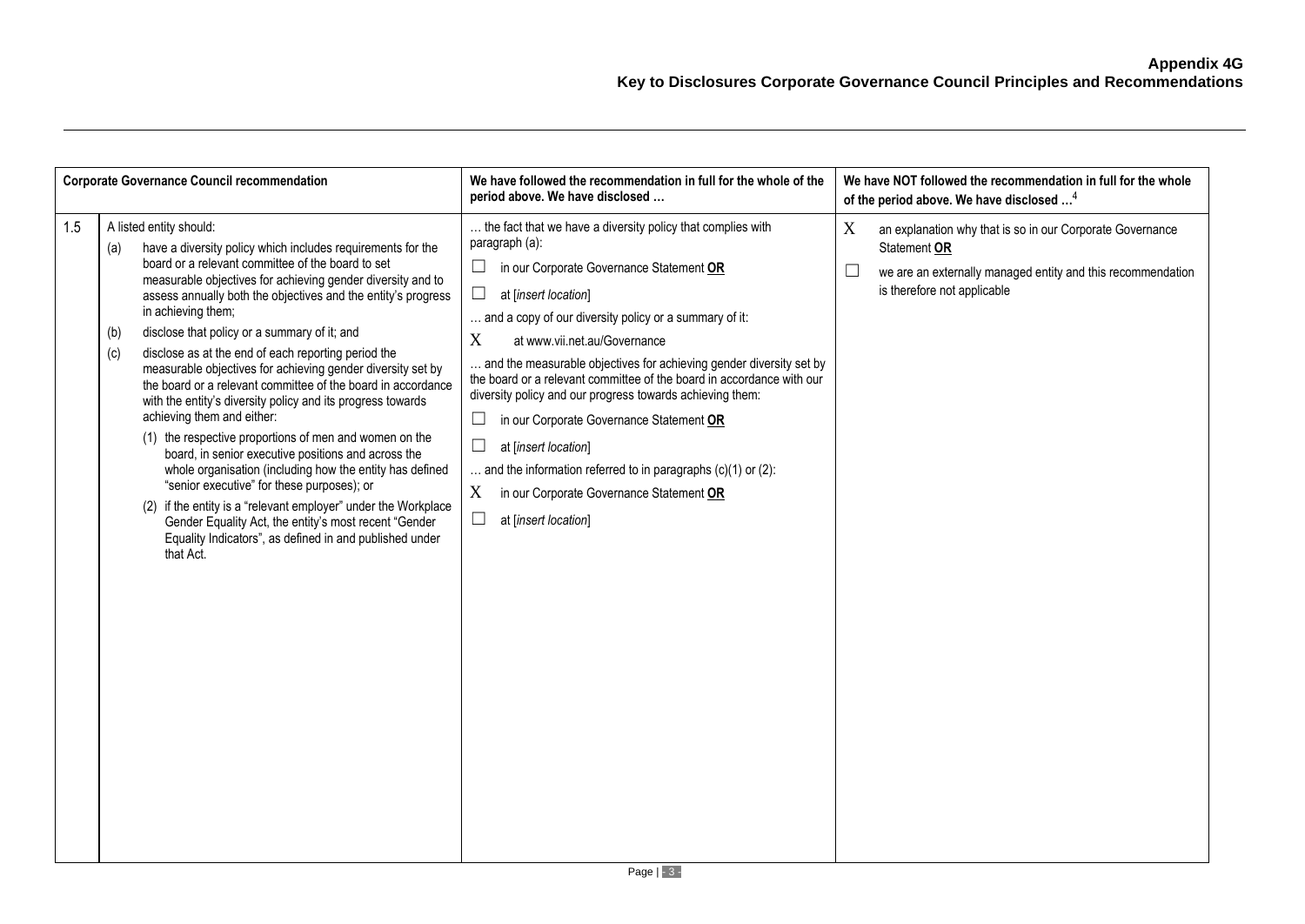| <b>Corporate Governance Council recommendation</b> |                                                                                                                                                                                                                                                                                                                                                                                                                                                                                                                                                                                                                                                                                                                                                                                                                                                                                                                                                                                                                                                                                         | We have followed the recommendation in full for the whole of the<br>period above. We have disclosed                                                                                                                                                                                                                                                                                                                                                                                                                                                                                                                                                                                                      | We have NOT followed the recommendation in full for the whole<br>of the period above. We have disclosed <sup>4</sup>                                                         |
|----------------------------------------------------|-----------------------------------------------------------------------------------------------------------------------------------------------------------------------------------------------------------------------------------------------------------------------------------------------------------------------------------------------------------------------------------------------------------------------------------------------------------------------------------------------------------------------------------------------------------------------------------------------------------------------------------------------------------------------------------------------------------------------------------------------------------------------------------------------------------------------------------------------------------------------------------------------------------------------------------------------------------------------------------------------------------------------------------------------------------------------------------------|----------------------------------------------------------------------------------------------------------------------------------------------------------------------------------------------------------------------------------------------------------------------------------------------------------------------------------------------------------------------------------------------------------------------------------------------------------------------------------------------------------------------------------------------------------------------------------------------------------------------------------------------------------------------------------------------------------|------------------------------------------------------------------------------------------------------------------------------------------------------------------------------|
| 1.5                                                | A listed entity should:<br>have a diversity policy which includes requirements for the<br>(a)<br>board or a relevant committee of the board to set<br>measurable objectives for achieving gender diversity and to<br>assess annually both the objectives and the entity's progress<br>in achieving them;<br>disclose that policy or a summary of it; and<br>(b)<br>disclose as at the end of each reporting period the<br>(c)<br>measurable objectives for achieving gender diversity set by<br>the board or a relevant committee of the board in accordance<br>with the entity's diversity policy and its progress towards<br>achieving them and either:<br>(1) the respective proportions of men and women on the<br>board, in senior executive positions and across the<br>whole organisation (including how the entity has defined<br>"senior executive" for these purposes); or<br>(2) if the entity is a "relevant employer" under the Workplace<br>Gender Equality Act, the entity's most recent "Gender<br>Equality Indicators", as defined in and published under<br>that Act. | the fact that we have a diversity policy that complies with<br>paragraph (a):<br>in our Corporate Governance Statement OR<br>ப<br>at [insert location]<br>and a copy of our diversity policy or a summary of it:<br>X<br>at www.vii.net.au/Governance<br>and the measurable objectives for achieving gender diversity set by<br>the board or a relevant committee of the board in accordance with our<br>diversity policy and our progress towards achieving them:<br>in our Corporate Governance Statement OR<br>ப<br>$\Box$<br>at [insert location]<br>and the information referred to in paragraphs $(c)(1)$ or $(2)$ :<br>X<br>in our Corporate Governance Statement OR<br>at [insert location]<br>ப | X<br>an explanation why that is so in our Corporate Governance<br>Statement OR<br>we are an externally managed entity and this recommendation<br>is therefore not applicable |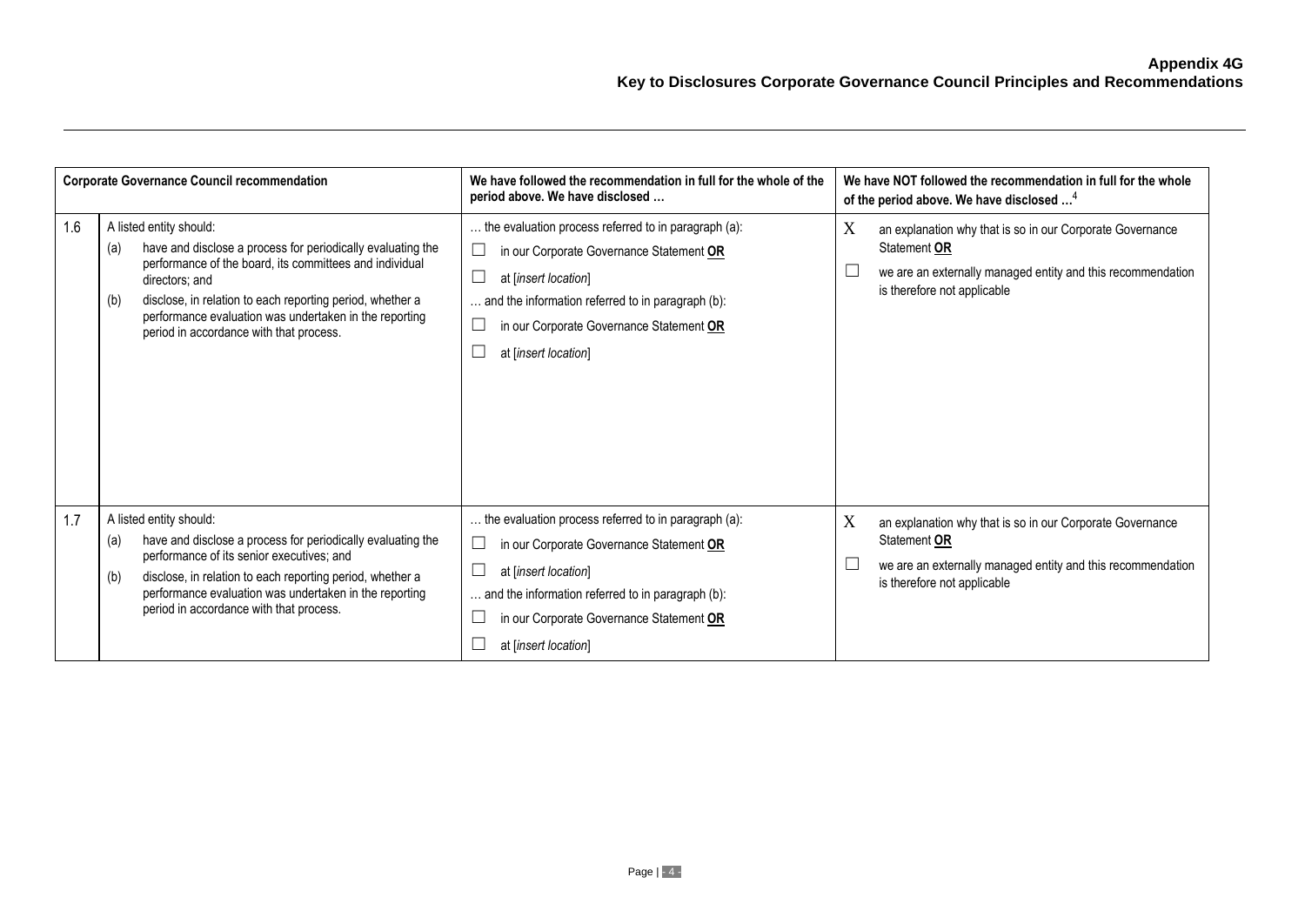| <b>Corporate Governance Council recommendation</b> |                                                                                                                                                                                                                                                                                                                                                     | We have followed the recommendation in full for the whole of the<br>period above. We have disclosed                                                                                                                                               | We have NOT followed the recommendation in full for the whole<br>of the period above. We have disclosed <sup>4</sup>                                                         |
|----------------------------------------------------|-----------------------------------------------------------------------------------------------------------------------------------------------------------------------------------------------------------------------------------------------------------------------------------------------------------------------------------------------------|---------------------------------------------------------------------------------------------------------------------------------------------------------------------------------------------------------------------------------------------------|------------------------------------------------------------------------------------------------------------------------------------------------------------------------------|
| 1.6                                                | A listed entity should:<br>have and disclose a process for periodically evaluating the<br>(a)<br>performance of the board, its committees and individual<br>directors: and<br>disclose, in relation to each reporting period, whether a<br>(b)<br>performance evaluation was undertaken in the reporting<br>period in accordance with that process. | the evaluation process referred to in paragraph (a):<br>in our Corporate Governance Statement OR<br>at [insert location]<br>and the information referred to in paragraph (b):<br>in our Corporate Governance Statement OR<br>at [insert location] | X<br>an explanation why that is so in our Corporate Governance<br>Statement OR<br>we are an externally managed entity and this recommendation<br>is therefore not applicable |
| 1.7                                                | A listed entity should:<br>have and disclose a process for periodically evaluating the<br>(a)<br>performance of its senior executives; and<br>disclose, in relation to each reporting period, whether a<br>(b)<br>performance evaluation was undertaken in the reporting<br>period in accordance with that process.                                 | the evaluation process referred to in paragraph (a):<br>in our Corporate Governance Statement OR<br>at [insert location]<br>and the information referred to in paragraph (b):<br>in our Corporate Governance Statement OR<br>at [insert location] | X<br>an explanation why that is so in our Corporate Governance<br>Statement OR<br>we are an externally managed entity and this recommendation<br>is therefore not applicable |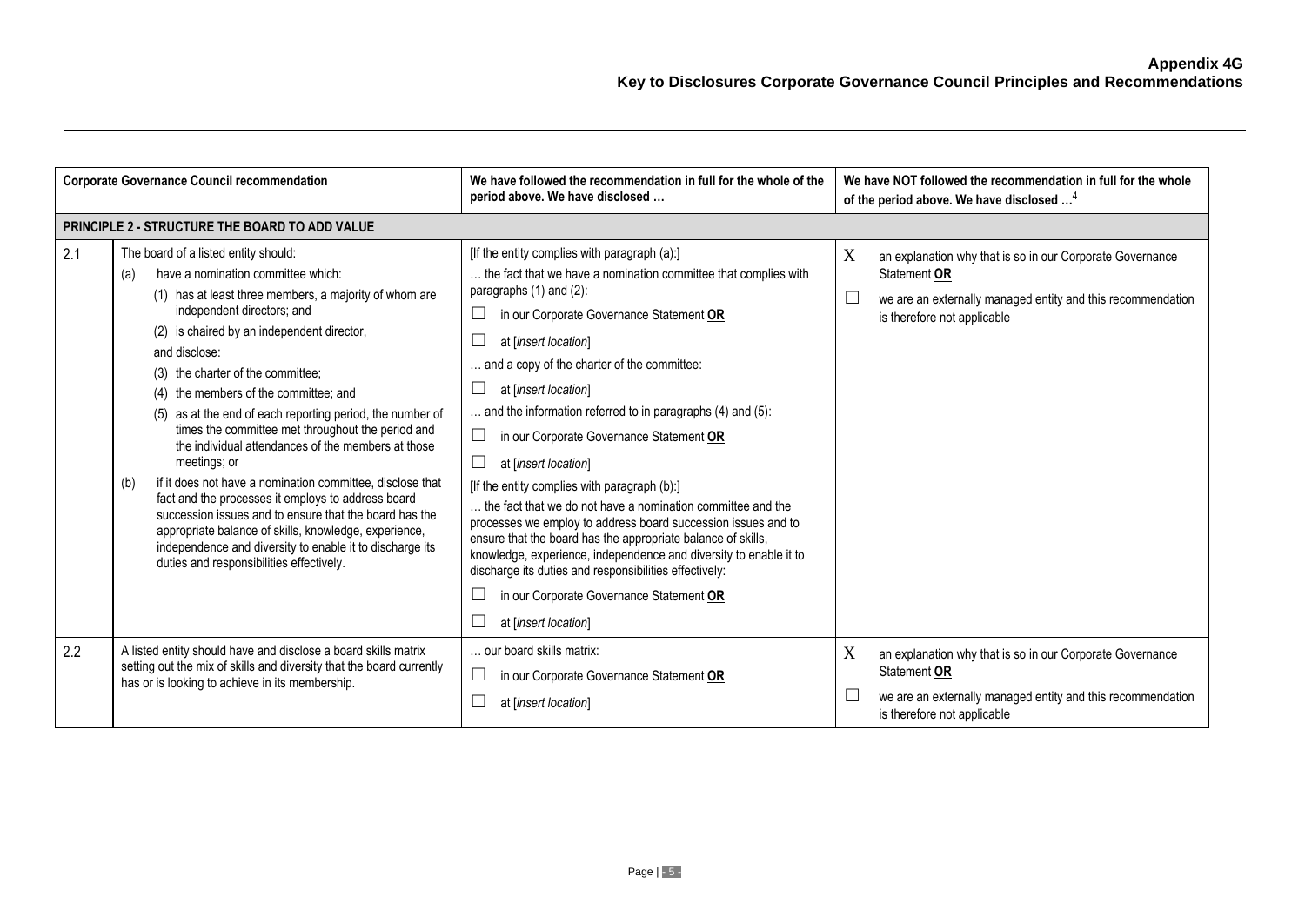| <b>Corporate Governance Council recommendation</b> |                                                                                                                                                                                                                                                                                                                                                                                                                                                                                                                                                                                                                                                                                                                                                                                                                                                                           | We have followed the recommendation in full for the whole of the<br>period above. We have disclosed                                                                                                                                                                                                                                                                                                                                                                                                                                                                                                                                                                                                                                                                                                                                                                                                                | We have NOT followed the recommendation in full for the whole<br>of the period above. We have disclosed <sup>4</sup>                                                                   |
|----------------------------------------------------|---------------------------------------------------------------------------------------------------------------------------------------------------------------------------------------------------------------------------------------------------------------------------------------------------------------------------------------------------------------------------------------------------------------------------------------------------------------------------------------------------------------------------------------------------------------------------------------------------------------------------------------------------------------------------------------------------------------------------------------------------------------------------------------------------------------------------------------------------------------------------|--------------------------------------------------------------------------------------------------------------------------------------------------------------------------------------------------------------------------------------------------------------------------------------------------------------------------------------------------------------------------------------------------------------------------------------------------------------------------------------------------------------------------------------------------------------------------------------------------------------------------------------------------------------------------------------------------------------------------------------------------------------------------------------------------------------------------------------------------------------------------------------------------------------------|----------------------------------------------------------------------------------------------------------------------------------------------------------------------------------------|
|                                                    | PRINCIPLE 2 - STRUCTURE THE BOARD TO ADD VALUE                                                                                                                                                                                                                                                                                                                                                                                                                                                                                                                                                                                                                                                                                                                                                                                                                            |                                                                                                                                                                                                                                                                                                                                                                                                                                                                                                                                                                                                                                                                                                                                                                                                                                                                                                                    |                                                                                                                                                                                        |
| 2.1                                                | The board of a listed entity should:<br>have a nomination committee which:<br>(a)<br>(1) has at least three members, a majority of whom are<br>independent directors; and<br>(2) is chaired by an independent director,<br>and disclose:<br>(3) the charter of the committee:<br>the members of the committee; and<br>(4)<br>as at the end of each reporting period, the number of<br>(5)<br>times the committee met throughout the period and<br>the individual attendances of the members at those<br>meetings; or<br>if it does not have a nomination committee, disclose that<br>(b)<br>fact and the processes it employs to address board<br>succession issues and to ensure that the board has the<br>appropriate balance of skills, knowledge, experience,<br>independence and diversity to enable it to discharge its<br>duties and responsibilities effectively. | [If the entity complies with paragraph (a):]<br>the fact that we have a nomination committee that complies with<br>paragraphs $(1)$ and $(2)$ :<br>⊔<br>in our Corporate Governance Statement OR<br>⊔<br>at [insert location]<br>and a copy of the charter of the committee:<br>$\Box$<br>at [insert location]<br>and the information referred to in paragraphs (4) and (5):<br>$\Box$<br>in our Corporate Governance Statement OR<br>⊔<br>at [insert location]<br>[If the entity complies with paragraph (b):]<br>the fact that we do not have a nomination committee and the<br>processes we employ to address board succession issues and to<br>ensure that the board has the appropriate balance of skills,<br>knowledge, experience, independence and diversity to enable it to<br>discharge its duties and responsibilities effectively:<br>in our Corporate Governance Statement OR<br>at [insert location] | X<br>an explanation why that is so in our Corporate Governance<br>Statement OR<br>$\Box$<br>we are an externally managed entity and this recommendation<br>is therefore not applicable |
| 2.2                                                | A listed entity should have and disclose a board skills matrix<br>setting out the mix of skills and diversity that the board currently<br>has or is looking to achieve in its membership.                                                                                                                                                                                                                                                                                                                                                                                                                                                                                                                                                                                                                                                                                 | our board skills matrix:<br>$\Box$<br>in our Corporate Governance Statement OR<br>at [insert location]                                                                                                                                                                                                                                                                                                                                                                                                                                                                                                                                                                                                                                                                                                                                                                                                             | X<br>an explanation why that is so in our Corporate Governance<br>Statement OR<br>we are an externally managed entity and this recommendation<br>ப<br>is therefore not applicable      |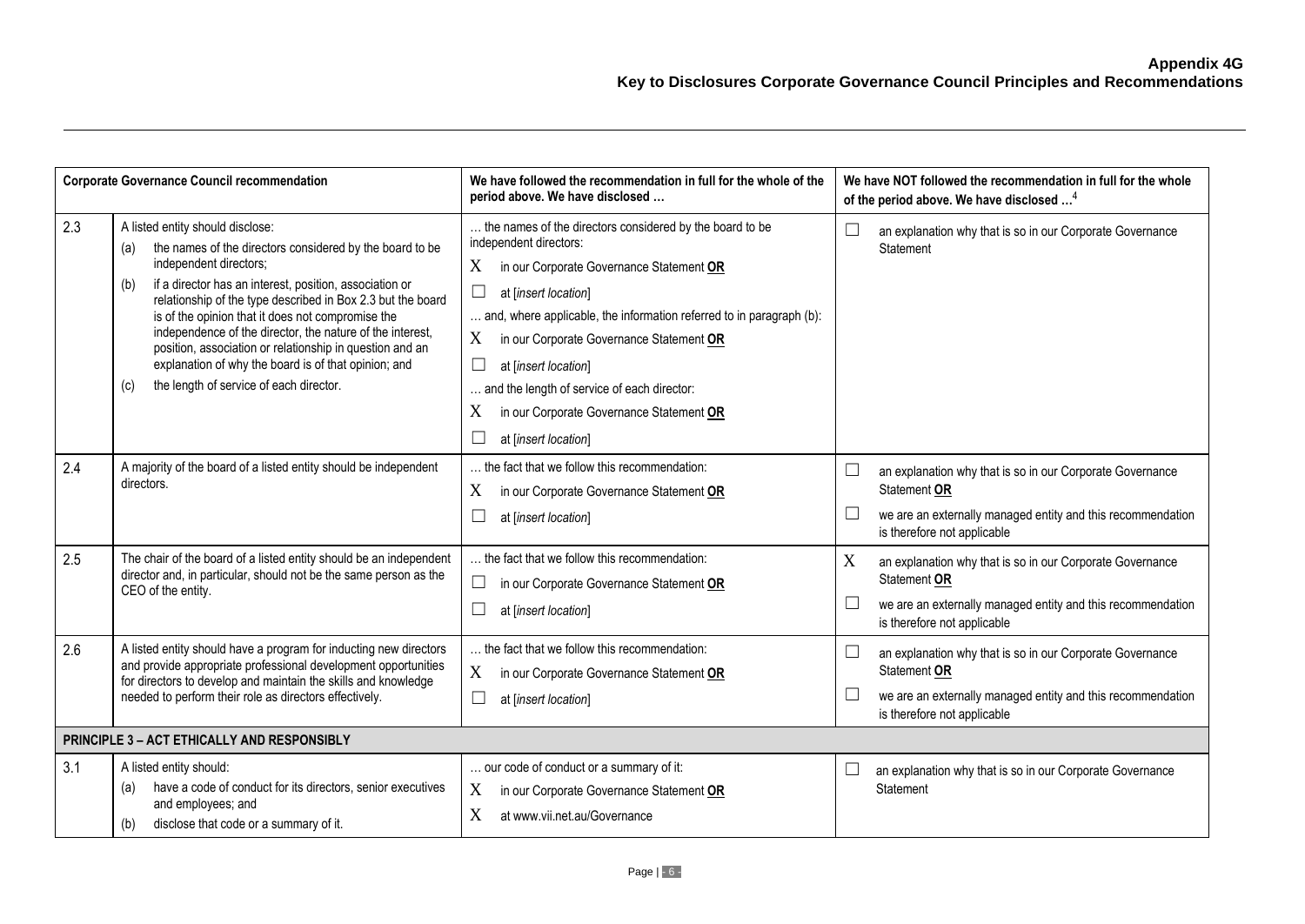| <b>Corporate Governance Council recommendation</b> |                                                                                                                                                                                                                                                                                                                                                                                                                                                                                                                                                        | We have followed the recommendation in full for the whole of the<br>period above. We have disclosed                                                                                                                                                                                                                                                                                                                                                           |   | We have NOT followed the recommendation in full for the whole<br>of the period above. We have disclosed <sup>4</sup>                                                    |
|----------------------------------------------------|--------------------------------------------------------------------------------------------------------------------------------------------------------------------------------------------------------------------------------------------------------------------------------------------------------------------------------------------------------------------------------------------------------------------------------------------------------------------------------------------------------------------------------------------------------|---------------------------------------------------------------------------------------------------------------------------------------------------------------------------------------------------------------------------------------------------------------------------------------------------------------------------------------------------------------------------------------------------------------------------------------------------------------|---|-------------------------------------------------------------------------------------------------------------------------------------------------------------------------|
| 2.3                                                | A listed entity should disclose:<br>the names of the directors considered by the board to be<br>(a)<br>independent directors;<br>if a director has an interest, position, association or<br>(b)<br>relationship of the type described in Box 2.3 but the board<br>is of the opinion that it does not compromise the<br>independence of the director, the nature of the interest,<br>position, association or relationship in question and an<br>explanation of why the board is of that opinion; and<br>the length of service of each director.<br>(c) | the names of the directors considered by the board to be<br>independent directors:<br>X<br>in our Corporate Governance Statement OR<br>$\Box$<br>at [insert location]<br>and, where applicable, the information referred to in paragraph (b):<br>X<br>in our Corporate Governance Statement OR<br>⊔<br>at [insert location]<br>and the length of service of each director:<br>X<br>in our Corporate Governance Statement OR<br>$\Box$<br>at [insert location] |   | an explanation why that is so in our Corporate Governance<br>Statement                                                                                                  |
| 2.4                                                | A majority of the board of a listed entity should be independent<br>directors.                                                                                                                                                                                                                                                                                                                                                                                                                                                                         | the fact that we follow this recommendation:<br>X<br>in our Corporate Governance Statement OR<br>$\Box$<br>at [insert location]                                                                                                                                                                                                                                                                                                                               |   | an explanation why that is so in our Corporate Governance<br>Statement OR<br>we are an externally managed entity and this recommendation<br>is therefore not applicable |
| 2.5                                                | The chair of the board of a listed entity should be an independent<br>director and, in particular, should not be the same person as the<br>CEO of the entity.                                                                                                                                                                                                                                                                                                                                                                                          | the fact that we follow this recommendation:<br>in our Corporate Governance Statement OR<br>⊔<br>$\sqcup$<br>at [insert location]                                                                                                                                                                                                                                                                                                                             | X | an explanation why that is so in our Corporate Governance<br>Statement OR<br>we are an externally managed entity and this recommendation<br>is therefore not applicable |
| 2.6                                                | A listed entity should have a program for inducting new directors<br>and provide appropriate professional development opportunities<br>for directors to develop and maintain the skills and knowledge<br>needed to perform their role as directors effectively.                                                                                                                                                                                                                                                                                        | the fact that we follow this recommendation:<br>X<br>in our Corporate Governance Statement OR<br>at [insert location]<br>⊔                                                                                                                                                                                                                                                                                                                                    |   | an explanation why that is so in our Corporate Governance<br>Statement OR<br>we are an externally managed entity and this recommendation<br>is therefore not applicable |
| PRINCIPLE 3 - ACT ETHICALLY AND RESPONSIBLY        |                                                                                                                                                                                                                                                                                                                                                                                                                                                                                                                                                        |                                                                                                                                                                                                                                                                                                                                                                                                                                                               |   |                                                                                                                                                                         |
| 3.1                                                | A listed entity should:<br>have a code of conduct for its directors, senior executives<br>(a)<br>and employees; and<br>(b)<br>disclose that code or a summary of it.                                                                                                                                                                                                                                                                                                                                                                                   | our code of conduct or a summary of it:<br>in our Corporate Governance Statement OR<br>X<br>X<br>at www.vii.net.au/Governance                                                                                                                                                                                                                                                                                                                                 |   | an explanation why that is so in our Corporate Governance<br>Statement                                                                                                  |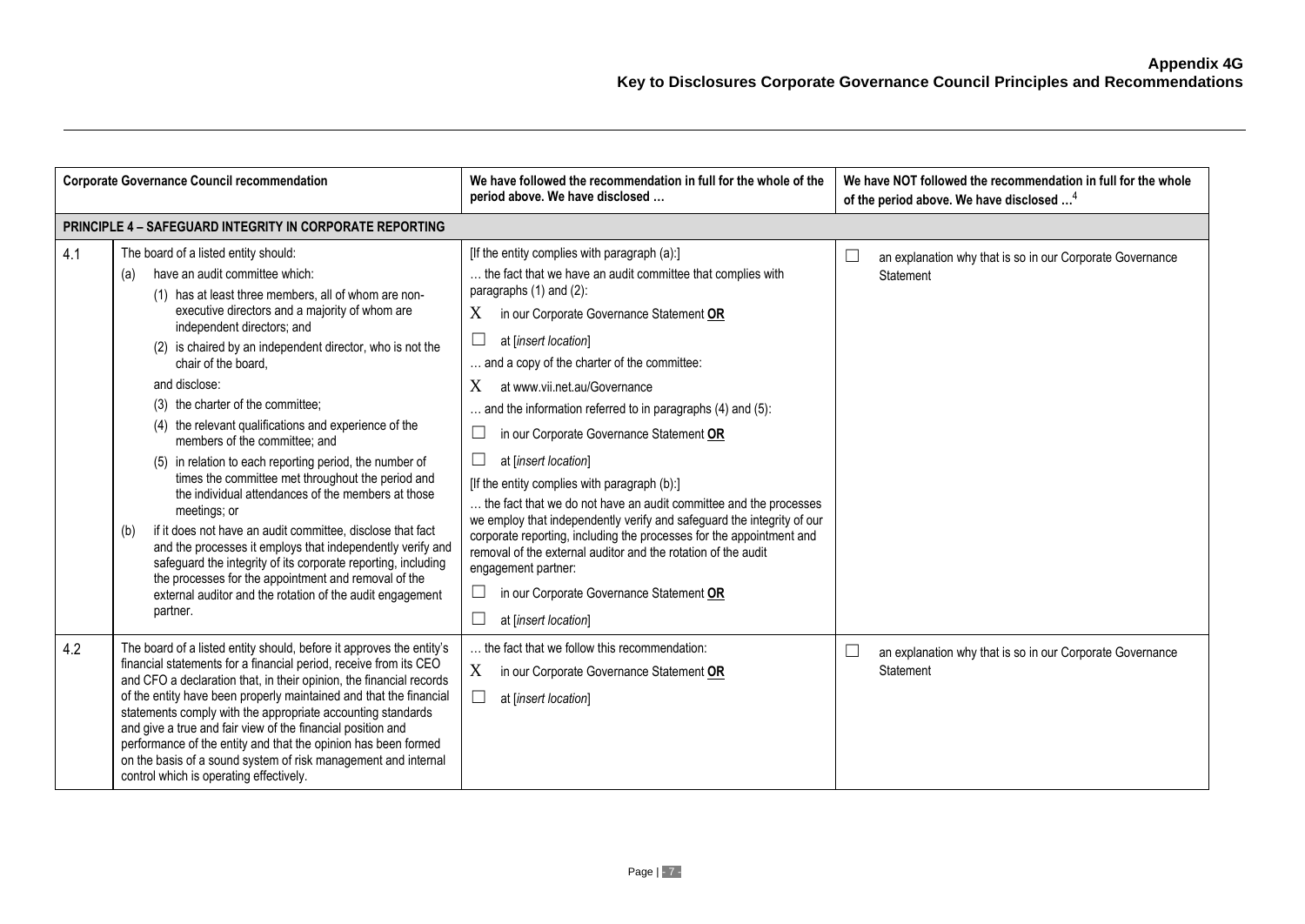| <b>Corporate Governance Council recommendation</b> |                                                                                                                                                                                                                                                                                                                                                                                                                                                                                                                                                                                                                                                                                                                                                                                                                                                                                                                                                                                         | We have followed the recommendation in full for the whole of the<br>period above. We have disclosed                                                                                                                                                                                                                                                                                                                                                                                                                                                                                                                                                                                                                                                                                                                                                                                          | We have NOT followed the recommendation in full for the whole<br>of the period above. We have disclosed <sup>4</sup> |
|----------------------------------------------------|-----------------------------------------------------------------------------------------------------------------------------------------------------------------------------------------------------------------------------------------------------------------------------------------------------------------------------------------------------------------------------------------------------------------------------------------------------------------------------------------------------------------------------------------------------------------------------------------------------------------------------------------------------------------------------------------------------------------------------------------------------------------------------------------------------------------------------------------------------------------------------------------------------------------------------------------------------------------------------------------|----------------------------------------------------------------------------------------------------------------------------------------------------------------------------------------------------------------------------------------------------------------------------------------------------------------------------------------------------------------------------------------------------------------------------------------------------------------------------------------------------------------------------------------------------------------------------------------------------------------------------------------------------------------------------------------------------------------------------------------------------------------------------------------------------------------------------------------------------------------------------------------------|----------------------------------------------------------------------------------------------------------------------|
|                                                    | <b>PRINCIPLE 4 - SAFEGUARD INTEGRITY IN CORPORATE REPORTING</b>                                                                                                                                                                                                                                                                                                                                                                                                                                                                                                                                                                                                                                                                                                                                                                                                                                                                                                                         |                                                                                                                                                                                                                                                                                                                                                                                                                                                                                                                                                                                                                                                                                                                                                                                                                                                                                              |                                                                                                                      |
| 4.1                                                | The board of a listed entity should:<br>have an audit committee which:<br>(a)<br>(1) has at least three members, all of whom are non-<br>executive directors and a majority of whom are<br>independent directors; and<br>(2) is chaired by an independent director, who is not the<br>chair of the board.<br>and disclose:<br>(3) the charter of the committee;<br>(4) the relevant qualifications and experience of the<br>members of the committee; and<br>in relation to each reporting period, the number of<br>(5)<br>times the committee met throughout the period and<br>the individual attendances of the members at those<br>meetings; or<br>if it does not have an audit committee, disclose that fact<br>(b)<br>and the processes it employs that independently verify and<br>safeguard the integrity of its corporate reporting, including<br>the processes for the appointment and removal of the<br>external auditor and the rotation of the audit engagement<br>partner. | [If the entity complies with paragraph (a):]<br>the fact that we have an audit committee that complies with<br>paragraphs (1) and (2):<br>X<br>in our Corporate Governance Statement OR<br>at [insert location]<br>ப<br>and a copy of the charter of the committee:<br>X<br>at www.vii.net.au/Governance<br>and the information referred to in paragraphs (4) and (5):<br>in our Corporate Governance Statement OR<br>at [insert location]<br>ப<br>[If the entity complies with paragraph (b):]<br>the fact that we do not have an audit committee and the processes<br>we employ that independently verify and safeguard the integrity of our<br>corporate reporting, including the processes for the appointment and<br>removal of the external auditor and the rotation of the audit<br>engagement partner:<br>in our Corporate Governance Statement OR<br>ப<br>at [insert location]<br>ш | an explanation why that is so in our Corporate Governance<br>Statement                                               |
| 4.2                                                | The board of a listed entity should, before it approves the entity's<br>financial statements for a financial period, receive from its CEO<br>and CFO a declaration that, in their opinion, the financial records<br>of the entity have been properly maintained and that the financial<br>statements comply with the appropriate accounting standards<br>and give a true and fair view of the financial position and<br>performance of the entity and that the opinion has been formed<br>on the basis of a sound system of risk management and internal<br>control which is operating effectively.                                                                                                                                                                                                                                                                                                                                                                                     | the fact that we follow this recommendation:<br>X<br>in our Corporate Governance Statement OR<br>ப<br>at [insert location]                                                                                                                                                                                                                                                                                                                                                                                                                                                                                                                                                                                                                                                                                                                                                                   | an explanation why that is so in our Corporate Governance<br>Statement                                               |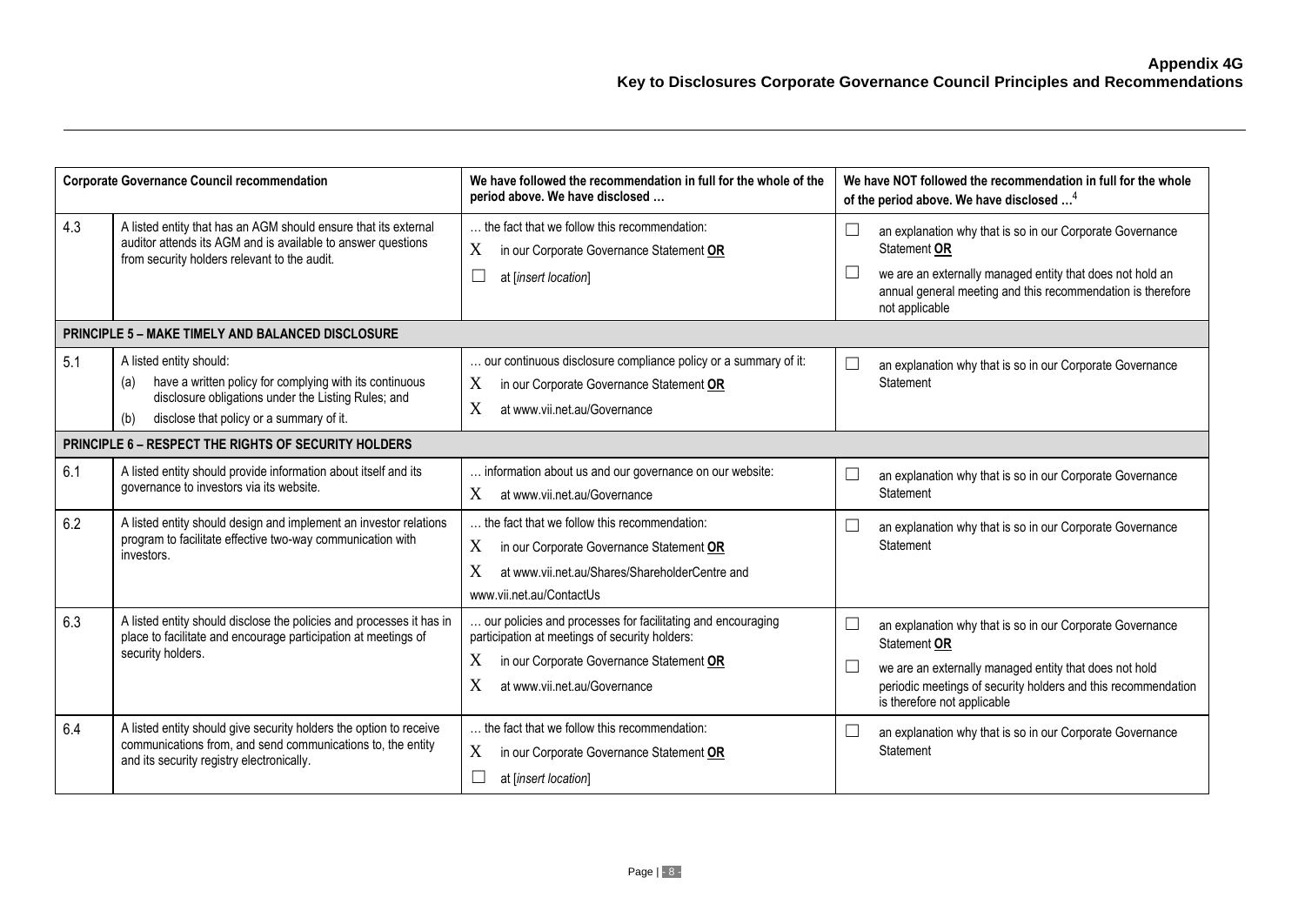| <b>Corporate Governance Council recommendation</b> |                                                                                                                                                                                                     | We have followed the recommendation in full for the whole of the<br>period above. We have disclosed                                                                                                 | We have NOT followed the recommendation in full for the whole<br>of the period above. We have disclosed <sup>4</sup>                                                                                                                |
|----------------------------------------------------|-----------------------------------------------------------------------------------------------------------------------------------------------------------------------------------------------------|-----------------------------------------------------------------------------------------------------------------------------------------------------------------------------------------------------|-------------------------------------------------------------------------------------------------------------------------------------------------------------------------------------------------------------------------------------|
| 4.3                                                | A listed entity that has an AGM should ensure that its external<br>auditor attends its AGM and is available to answer questions<br>from security holders relevant to the audit.                     | the fact that we follow this recommendation:<br>X<br>in our Corporate Governance Statement OR<br>at [insert location]                                                                               | an explanation why that is so in our Corporate Governance<br>Statement OR<br>we are an externally managed entity that does not hold an<br>annual general meeting and this recommendation is therefore<br>not applicable             |
|                                                    | <b>PRINCIPLE 5 - MAKE TIMELY AND BALANCED DISCLOSURE</b>                                                                                                                                            |                                                                                                                                                                                                     |                                                                                                                                                                                                                                     |
| 5.1                                                | A listed entity should:<br>have a written policy for complying with its continuous<br>(a)<br>disclosure obligations under the Listing Rules; and<br>disclose that policy or a summary of it.<br>(b) | our continuous disclosure compliance policy or a summary of it:<br>X<br>in our Corporate Governance Statement OR<br>X<br>at www.vii.net.au/Governance                                               | an explanation why that is so in our Corporate Governance<br>Statement                                                                                                                                                              |
|                                                    | PRINCIPLE 6 - RESPECT THE RIGHTS OF SECURITY HOLDERS                                                                                                                                                |                                                                                                                                                                                                     |                                                                                                                                                                                                                                     |
| 6.1                                                | A listed entity should provide information about itself and its<br>governance to investors via its website.                                                                                         | information about us and our governance on our website:<br>X<br>at www.vii.net.au/Governance                                                                                                        | an explanation why that is so in our Corporate Governance<br>Statement                                                                                                                                                              |
| 6.2                                                | A listed entity should design and implement an investor relations<br>program to facilitate effective two-way communication with<br>investors.                                                       | the fact that we follow this recommendation:<br>X<br>in our Corporate Governance Statement OR<br>X<br>at www.vii.net.au/Shares/ShareholderCentre and<br>www.vii.net.au/ContactUs                    | an explanation why that is so in our Corporate Governance<br>Statement                                                                                                                                                              |
| 6.3                                                | A listed entity should disclose the policies and processes it has in<br>place to facilitate and encourage participation at meetings of<br>security holders.                                         | our policies and processes for facilitating and encouraging<br>participation at meetings of security holders:<br>X<br>in our Corporate Governance Statement OR<br>X<br>at www.vii.net.au/Governance | an explanation why that is so in our Corporate Governance<br>Statement OR<br>we are an externally managed entity that does not hold<br>periodic meetings of security holders and this recommendation<br>is therefore not applicable |
| 6.4                                                | A listed entity should give security holders the option to receive<br>communications from, and send communications to, the entity<br>and its security registry electronically.                      | the fact that we follow this recommendation:<br>X<br>in our Corporate Governance Statement OR<br>at [insert location]                                                                               | an explanation why that is so in our Corporate Governance<br>Statement                                                                                                                                                              |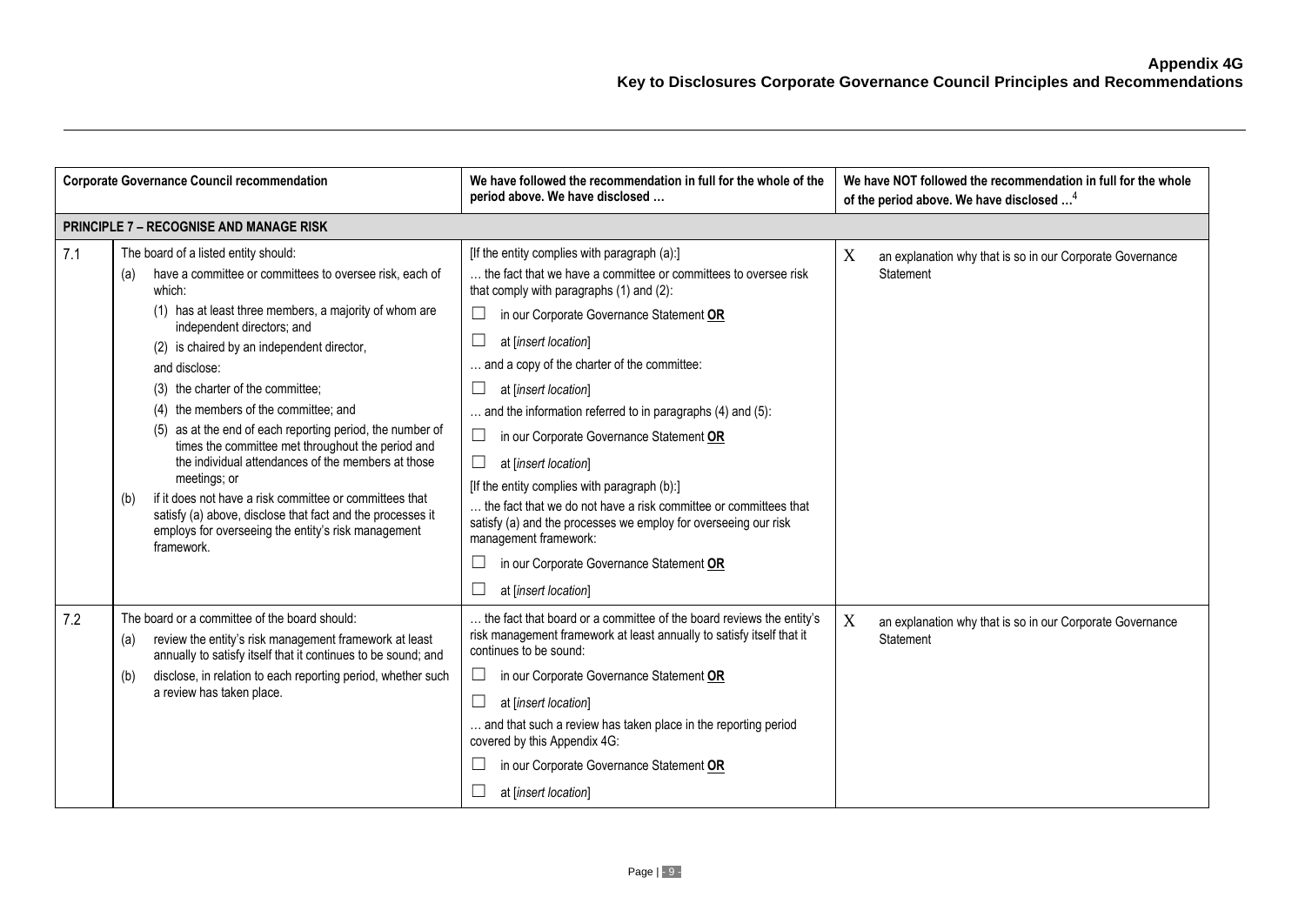| <b>Corporate Governance Council recommendation</b> |                                                                                                                                                                                                                                                                                                                                                                                                                                                                                                                                                                                                                                                                                                                                                   | We have followed the recommendation in full for the whole of the<br>period above. We have disclosed                                                                                                                                                                                                                                                                                                                                                                                                                                                                                                                                                                                                                                         | We have NOT followed the recommendation in full for the whole<br>of the period above. We have disclosed <sup>4</sup> |
|----------------------------------------------------|---------------------------------------------------------------------------------------------------------------------------------------------------------------------------------------------------------------------------------------------------------------------------------------------------------------------------------------------------------------------------------------------------------------------------------------------------------------------------------------------------------------------------------------------------------------------------------------------------------------------------------------------------------------------------------------------------------------------------------------------------|---------------------------------------------------------------------------------------------------------------------------------------------------------------------------------------------------------------------------------------------------------------------------------------------------------------------------------------------------------------------------------------------------------------------------------------------------------------------------------------------------------------------------------------------------------------------------------------------------------------------------------------------------------------------------------------------------------------------------------------------|----------------------------------------------------------------------------------------------------------------------|
|                                                    | <b>PRINCIPLE 7 - RECOGNISE AND MANAGE RISK</b>                                                                                                                                                                                                                                                                                                                                                                                                                                                                                                                                                                                                                                                                                                    |                                                                                                                                                                                                                                                                                                                                                                                                                                                                                                                                                                                                                                                                                                                                             |                                                                                                                      |
| 7.1                                                | The board of a listed entity should:<br>have a committee or committees to oversee risk, each of<br>(a)<br>which:<br>(1) has at least three members, a majority of whom are<br>independent directors; and<br>(2) is chaired by an independent director,<br>and disclose:<br>(3) the charter of the committee;<br>the members of the committee; and<br>(4)<br>as at the end of each reporting period, the number of<br>times the committee met throughout the period and<br>the individual attendances of the members at those<br>meetings; or<br>if it does not have a risk committee or committees that<br>(b)<br>satisfy (a) above, disclose that fact and the processes it<br>employs for overseeing the entity's risk management<br>framework. | [If the entity complies with paragraph (a):]<br>the fact that we have a committee or committees to oversee risk<br>that comply with paragraphs (1) and (2):<br>in our Corporate Governance Statement OR<br>$\Box$<br>at [insert location]<br>and a copy of the charter of the committee:<br>at linsert location]<br>and the information referred to in paragraphs (4) and (5):<br>in our Corporate Governance Statement OR<br>ш<br>at [insert location]<br>[If the entity complies with paragraph (b):]<br>the fact that we do not have a risk committee or committees that<br>satisfy (a) and the processes we employ for overseeing our risk<br>management framework:<br>in our Corporate Governance Statement OR<br>at [insert location] | X<br>an explanation why that is so in our Corporate Governance<br>Statement                                          |
| 7.2                                                | The board or a committee of the board should:<br>review the entity's risk management framework at least<br>(a)<br>annually to satisfy itself that it continues to be sound; and<br>disclose, in relation to each reporting period, whether such<br>(b)<br>a review has taken place.                                                                                                                                                                                                                                                                                                                                                                                                                                                               | the fact that board or a committee of the board reviews the entity's<br>risk management framework at least annually to satisfy itself that it<br>continues to be sound:<br>in our Corporate Governance Statement OR<br>at [insert location]<br>and that such a review has taken place in the reporting period<br>covered by this Appendix 4G:<br>in our Corporate Governance Statement OR<br>at [insert location]                                                                                                                                                                                                                                                                                                                           | X<br>an explanation why that is so in our Corporate Governance<br>Statement                                          |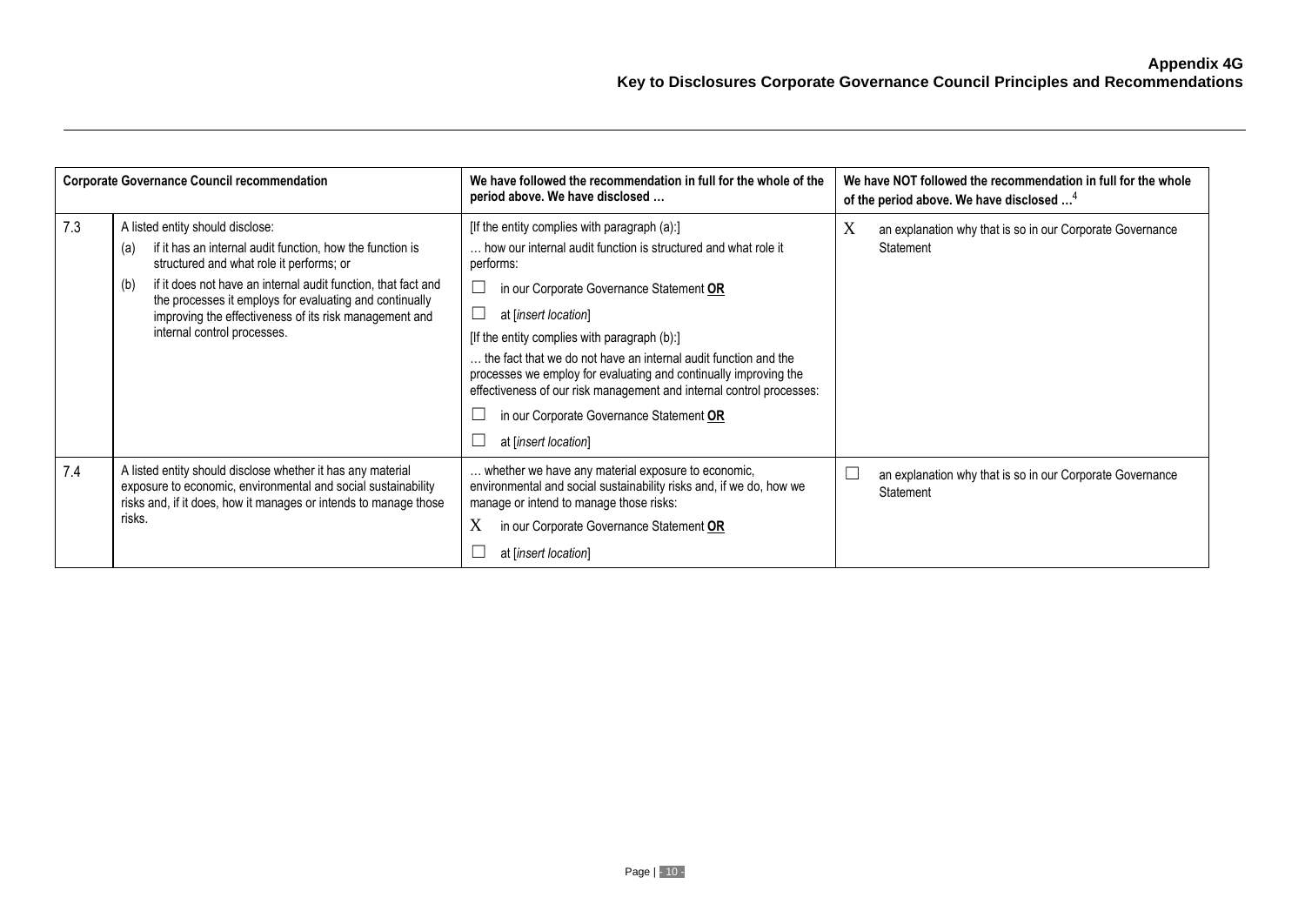| <b>Corporate Governance Council recommendation</b> |                                                                                                                                                                                                                                                                                                                                                                              | We have followed the recommendation in full for the whole of the<br>period above. We have disclosed                                                                                                                                                                                                                                                                                                                                                                                                                                | We have NOT followed the recommendation in full for the whole<br>of the period above. We have disclosed <sup>4</sup> |
|----------------------------------------------------|------------------------------------------------------------------------------------------------------------------------------------------------------------------------------------------------------------------------------------------------------------------------------------------------------------------------------------------------------------------------------|------------------------------------------------------------------------------------------------------------------------------------------------------------------------------------------------------------------------------------------------------------------------------------------------------------------------------------------------------------------------------------------------------------------------------------------------------------------------------------------------------------------------------------|----------------------------------------------------------------------------------------------------------------------|
| 7.3                                                | A listed entity should disclose:<br>if it has an internal audit function, how the function is<br>(a)<br>structured and what role it performs; or<br>if it does not have an internal audit function, that fact and<br>(b)<br>the processes it employs for evaluating and continually<br>improving the effectiveness of its risk management and<br>internal control processes. | [If the entity complies with paragraph (a):]<br>how our internal audit function is structured and what role it<br>performs:<br>in our Corporate Governance Statement OR<br>at [insert location]<br>[If the entity complies with paragraph (b):]<br>the fact that we do not have an internal audit function and the<br>processes we employ for evaluating and continually improving the<br>effectiveness of our risk management and internal control processes:<br>in our Corporate Governance Statement OR<br>at [insert location] | X<br>an explanation why that is so in our Corporate Governance<br>Statement                                          |
| 7.4                                                | A listed entity should disclose whether it has any material<br>exposure to economic, environmental and social sustainability<br>risks and, if it does, how it manages or intends to manage those<br>risks.                                                                                                                                                                   | whether we have any material exposure to economic,<br>environmental and social sustainability risks and, if we do, how we<br>manage or intend to manage those risks:<br>X<br>in our Corporate Governance Statement OR<br>at [insert location]                                                                                                                                                                                                                                                                                      | an explanation why that is so in our Corporate Governance<br>Statement                                               |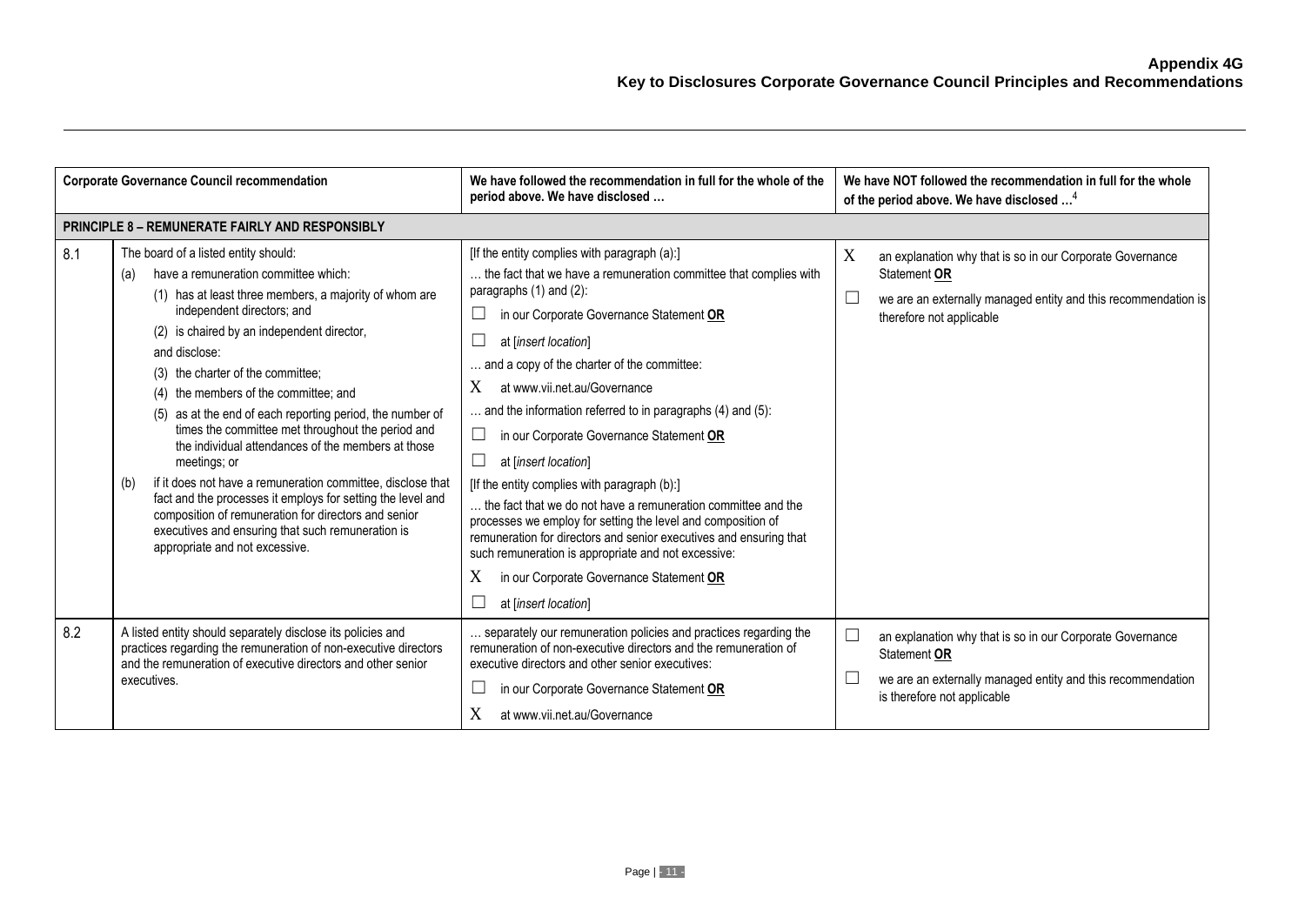| <b>Corporate Governance Council recommendation</b> |                                                                                                                                                                                                                                                                                                                                                                                                                                                                                                                                                                                                                                                                                                                                                                                                            | We have followed the recommendation in full for the whole of the<br>period above. We have disclosed                                                                                                                                                                                                                                                                                                                                                                                                                                                                                                                                                                                                                                                                                                                                                                                 | We have NOT followed the recommendation in full for the whole<br>of the period above. We have disclosed <sup>4</sup>                                                                   |
|----------------------------------------------------|------------------------------------------------------------------------------------------------------------------------------------------------------------------------------------------------------------------------------------------------------------------------------------------------------------------------------------------------------------------------------------------------------------------------------------------------------------------------------------------------------------------------------------------------------------------------------------------------------------------------------------------------------------------------------------------------------------------------------------------------------------------------------------------------------------|-------------------------------------------------------------------------------------------------------------------------------------------------------------------------------------------------------------------------------------------------------------------------------------------------------------------------------------------------------------------------------------------------------------------------------------------------------------------------------------------------------------------------------------------------------------------------------------------------------------------------------------------------------------------------------------------------------------------------------------------------------------------------------------------------------------------------------------------------------------------------------------|----------------------------------------------------------------------------------------------------------------------------------------------------------------------------------------|
|                                                    | <b>PRINCIPLE 8 - REMUNERATE FAIRLY AND RESPONSIBLY</b>                                                                                                                                                                                                                                                                                                                                                                                                                                                                                                                                                                                                                                                                                                                                                     |                                                                                                                                                                                                                                                                                                                                                                                                                                                                                                                                                                                                                                                                                                                                                                                                                                                                                     |                                                                                                                                                                                        |
| 8.1                                                | The board of a listed entity should:<br>have a remuneration committee which:<br>(a)<br>(1) has at least three members, a majority of whom are<br>independent directors; and<br>(2) is chaired by an independent director,<br>and disclose:<br>(3) the charter of the committee;<br>the members of the committee; and<br>(4)<br>as at the end of each reporting period, the number of<br>(5)<br>times the committee met throughout the period and<br>the individual attendances of the members at those<br>meetings; or<br>if it does not have a remuneration committee, disclose that<br>(b)<br>fact and the processes it employs for setting the level and<br>composition of remuneration for directors and senior<br>executives and ensuring that such remuneration is<br>appropriate and not excessive. | [If the entity complies with paragraph (a):]<br>the fact that we have a remuneration committee that complies with<br>paragraphs (1) and (2):<br>Ш<br>in our Corporate Governance Statement OR<br>at [insert location]<br>$\Box$<br>and a copy of the charter of the committee:<br>X<br>at www.vii.net.au/Governance<br>$\ldots$ and the information referred to in paragraphs (4) and (5):<br>$\Box$<br>in our Corporate Governance Statement OR<br>$\Box$<br>at linsert location]<br>[If the entity complies with paragraph (b):]<br>the fact that we do not have a remuneration committee and the<br>processes we employ for setting the level and composition of<br>remuneration for directors and senior executives and ensuring that<br>such remuneration is appropriate and not excessive:<br>X<br>in our Corporate Governance Statement OR<br>$\Box$<br>at [insert location] | X<br>an explanation why that is so in our Corporate Governance<br>Statement OR<br>$\Box$<br>we are an externally managed entity and this recommendation is<br>therefore not applicable |
| 8.2                                                | A listed entity should separately disclose its policies and<br>practices regarding the remuneration of non-executive directors<br>and the remuneration of executive directors and other senior<br>executives.                                                                                                                                                                                                                                                                                                                                                                                                                                                                                                                                                                                              | separately our remuneration policies and practices regarding the<br>remuneration of non-executive directors and the remuneration of<br>executive directors and other senior executives:<br>$\Box$<br>in our Corporate Governance Statement OR<br>at www.vii.net.au/Governance                                                                                                                                                                                                                                                                                                                                                                                                                                                                                                                                                                                                       | $\Box$<br>an explanation why that is so in our Corporate Governance<br>Statement OR<br>we are an externally managed entity and this recommendation<br>⊔<br>is therefore not applicable |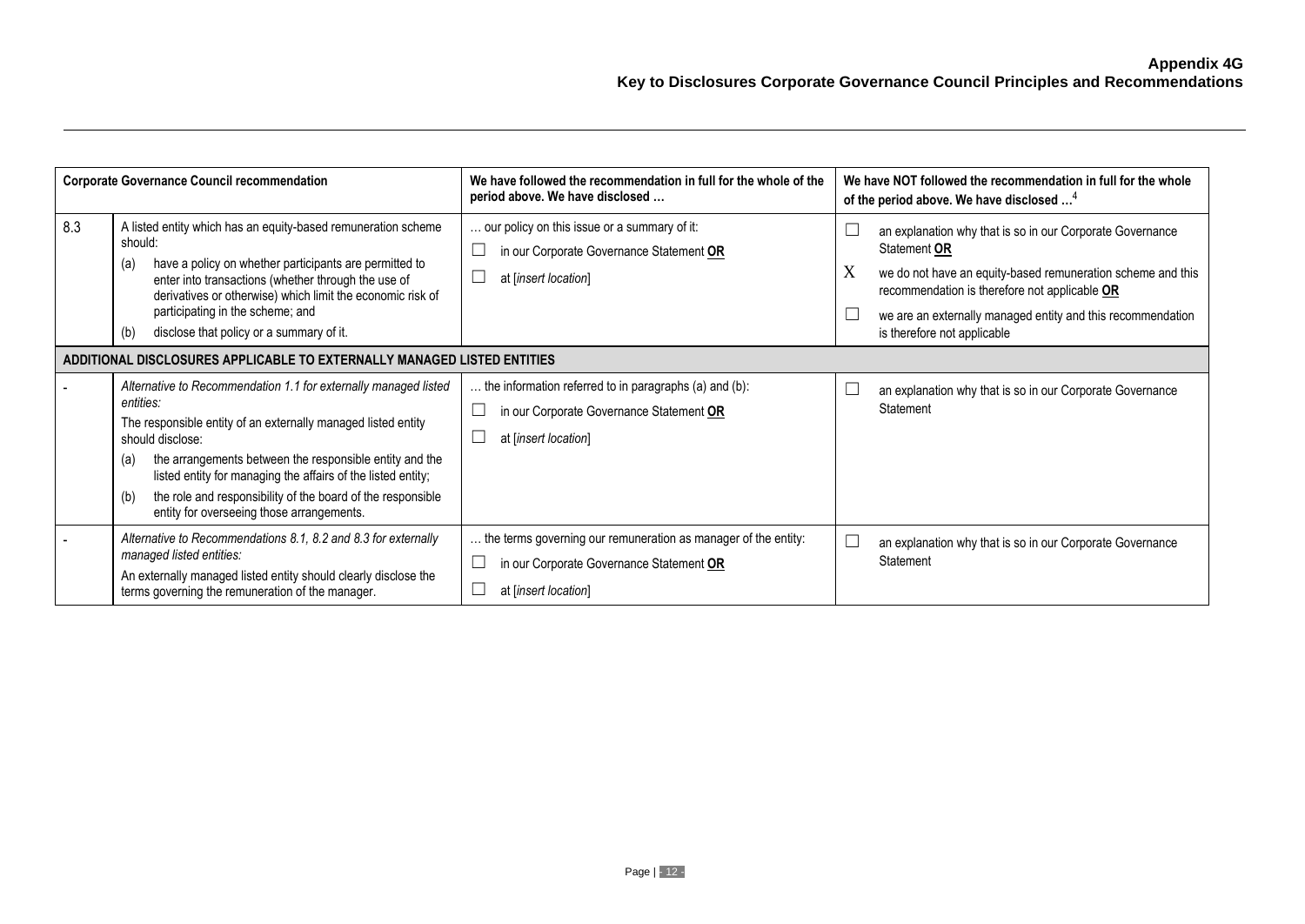| <b>Corporate Governance Council recommendation</b> |                                                                                                                                                                                                                                                                                                                                                                                                                        | We have followed the recommendation in full for the whole of the<br>period above. We have disclosed                                | We have NOT followed the recommendation in full for the whole<br>of the period above. We have disclosed <sup>4</sup>                                                                                                                                                                         |
|----------------------------------------------------|------------------------------------------------------------------------------------------------------------------------------------------------------------------------------------------------------------------------------------------------------------------------------------------------------------------------------------------------------------------------------------------------------------------------|------------------------------------------------------------------------------------------------------------------------------------|----------------------------------------------------------------------------------------------------------------------------------------------------------------------------------------------------------------------------------------------------------------------------------------------|
| 8.3                                                | A listed entity which has an equity-based remuneration scheme<br>should:<br>have a policy on whether participants are permitted to<br>(a)<br>enter into transactions (whether through the use of<br>derivatives or otherwise) which limit the economic risk of<br>participating in the scheme; and<br>disclose that policy or a summary of it.<br>(b)                                                                  | our policy on this issue or a summary of it:<br>in our Corporate Governance Statement OR<br>at [insert location]                   | an explanation why that is so in our Corporate Governance<br>Statement OR<br>X<br>we do not have an equity-based remuneration scheme and this<br>recommendation is therefore not applicable OR<br>we are an externally managed entity and this recommendation<br>is therefore not applicable |
|                                                    | ADDITIONAL DISCLOSURES APPLICABLE TO EXTERNALLY MANAGED LISTED ENTITIES                                                                                                                                                                                                                                                                                                                                                |                                                                                                                                    |                                                                                                                                                                                                                                                                                              |
|                                                    | Alternative to Recommendation 1.1 for externally managed listed<br>entities:<br>The responsible entity of an externally managed listed entity<br>should disclose:<br>the arrangements between the responsible entity and the<br>(a)<br>listed entity for managing the affairs of the listed entity;<br>the role and responsibility of the board of the responsible<br>(b)<br>entity for overseeing those arrangements. | the information referred to in paragraphs (a) and (b):<br>in our Corporate Governance Statement OR<br>at [insert location]         | an explanation why that is so in our Corporate Governance<br>Statement                                                                                                                                                                                                                       |
|                                                    | Alternative to Recommendations 8.1, 8.2 and 8.3 for externally<br>managed listed entities:<br>An externally managed listed entity should clearly disclose the<br>terms governing the remuneration of the manager.                                                                                                                                                                                                      | the terms governing our remuneration as manager of the entity:<br>in our Corporate Governance Statement OR<br>at [insert location] | an explanation why that is so in our Corporate Governance<br>Statement                                                                                                                                                                                                                       |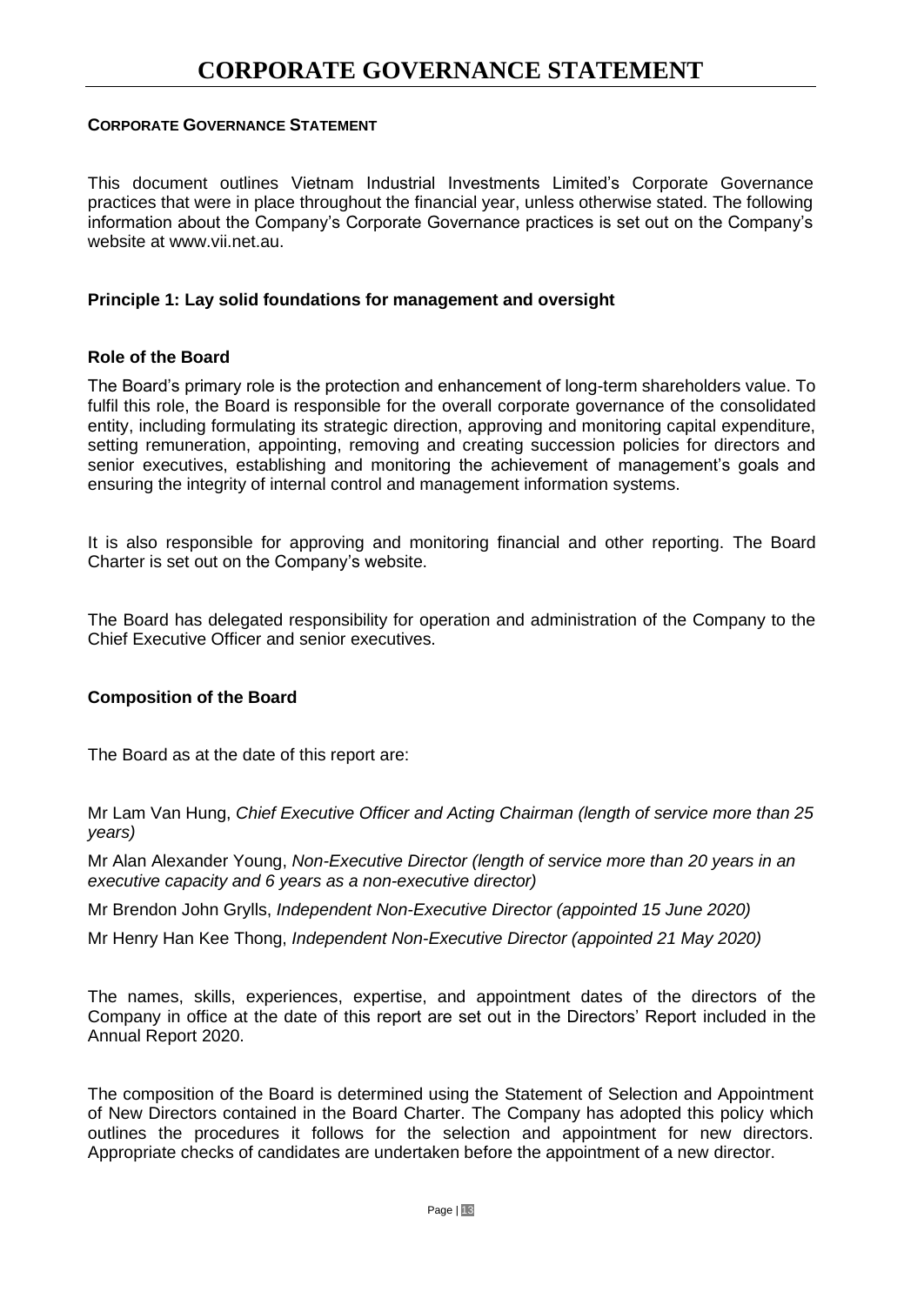This document outlines Vietnam Industrial Investments Limited's Corporate Governance practices that were in place throughout the financial year, unless otherwise stated. The following information about the Company's Corporate Governance practices is set out on the Company's website at [www.vii.net.au.](http://www.vii.net.au/)

#### **Principle 1: Lay solid foundations for management and oversight**

#### **Role of the Board**

The Board's primary role is the protection and enhancement of long-term shareholders value. To fulfil this role, the Board is responsible for the overall corporate governance of the consolidated entity, including formulating its strategic direction, approving and monitoring capital expenditure, setting remuneration, appointing, removing and creating succession policies for directors and senior executives, establishing and monitoring the achievement of management's goals and ensuring the integrity of internal control and management information systems.

It is also responsible for approving and monitoring financial and other reporting. The Board Charter is set out on the Company's website.

The Board has delegated responsibility for operation and administration of the Company to the Chief Executive Officer and senior executives.

#### **Composition of the Board**

The Board as at the date of this report are:

Mr Lam Van Hung, *Chief Executive Officer and Acting Chairman (length of service more than 25 years)*

Mr Alan Alexander Young, *Non-Executive Director (length of service more than 20 years in an executive capacity and 6 years as a non-executive director)*

Mr Brendon John Grylls, *Independent Non-Executive Director (appointed 15 June 2020)*

Mr Henry Han Kee Thong, *Independent Non-Executive Director (appointed 21 May 2020)*

The names, skills, experiences, expertise, and appointment dates of the directors of the Company in office at the date of this report are set out in the Directors' Report included in the Annual Report 2020.

The composition of the Board is determined using the Statement of Selection and Appointment of New Directors contained in the Board Charter. The Company has adopted this policy which outlines the procedures it follows for the selection and appointment for new directors. Appropriate checks of candidates are undertaken before the appointment of a new director.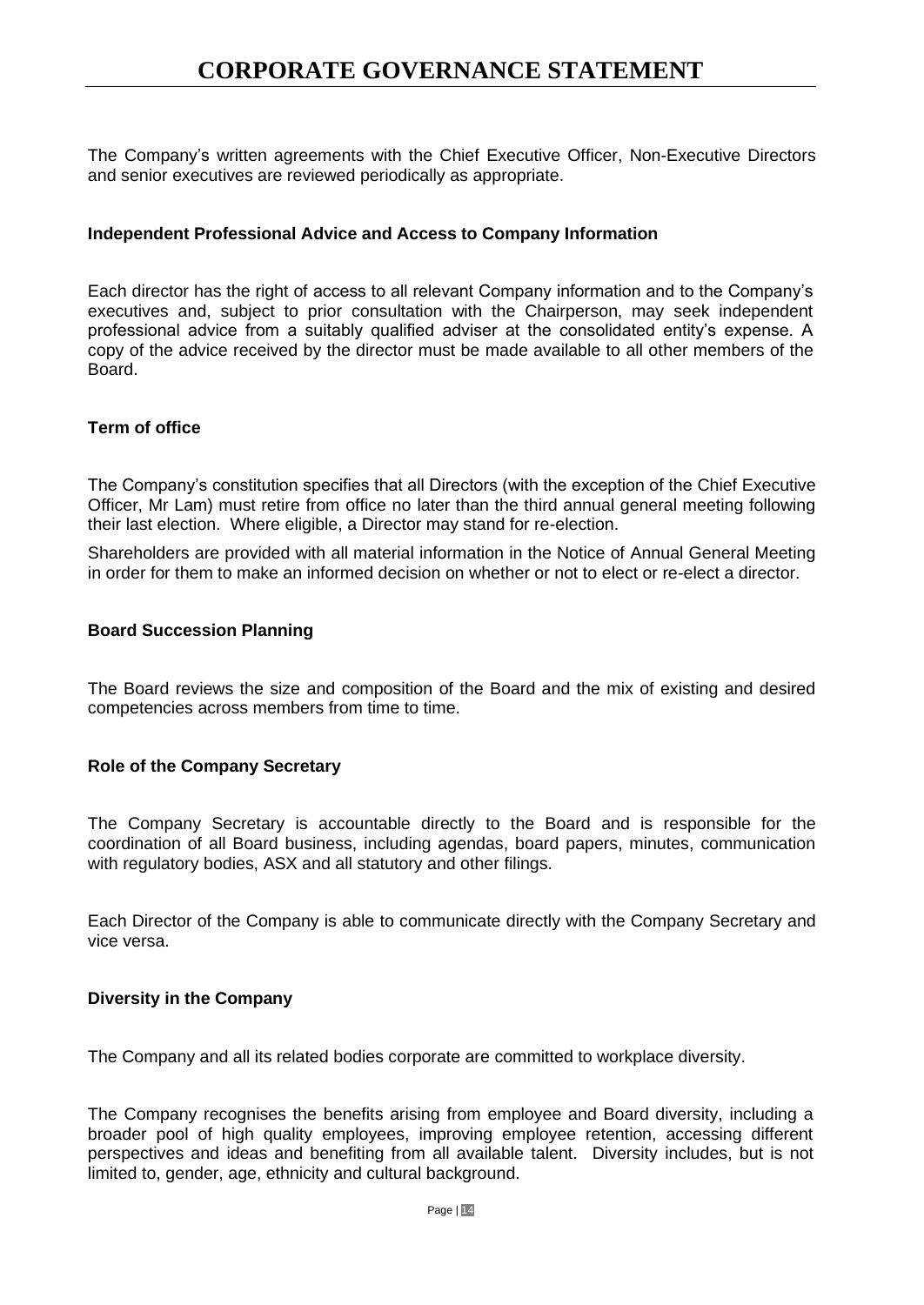The Company's written agreements with the Chief Executive Officer, Non-Executive Directors and senior executives are reviewed periodically as appropriate.

### **Independent Professional Advice and Access to Company Information**

Each director has the right of access to all relevant Company information and to the Company's executives and, subject to prior consultation with the Chairperson, may seek independent professional advice from a suitably qualified adviser at the consolidated entity's expense. A copy of the advice received by the director must be made available to all other members of the Board.

### **Term of office**

The Company's constitution specifies that all Directors (with the exception of the Chief Executive Officer, Mr Lam) must retire from office no later than the third annual general meeting following their last election. Where eligible, a Director may stand for re-election.

Shareholders are provided with all material information in the Notice of Annual General Meeting in order for them to make an informed decision on whether or not to elect or re-elect a director.

#### **Board Succession Planning**

The Board reviews the size and composition of the Board and the mix of existing and desired competencies across members from time to time.

#### **Role of the Company Secretary**

The Company Secretary is accountable directly to the Board and is responsible for the coordination of all Board business, including agendas, board papers, minutes, communication with regulatory bodies, ASX and all statutory and other filings.

Each Director of the Company is able to communicate directly with the Company Secretary and vice versa.

#### **Diversity in the Company**

The Company and all its related bodies corporate are committed to workplace diversity.

The Company recognises the benefits arising from employee and Board diversity, including a broader pool of high quality employees, improving employee retention, accessing different perspectives and ideas and benefiting from all available talent. Diversity includes, but is not limited to, gender, age, ethnicity and cultural background.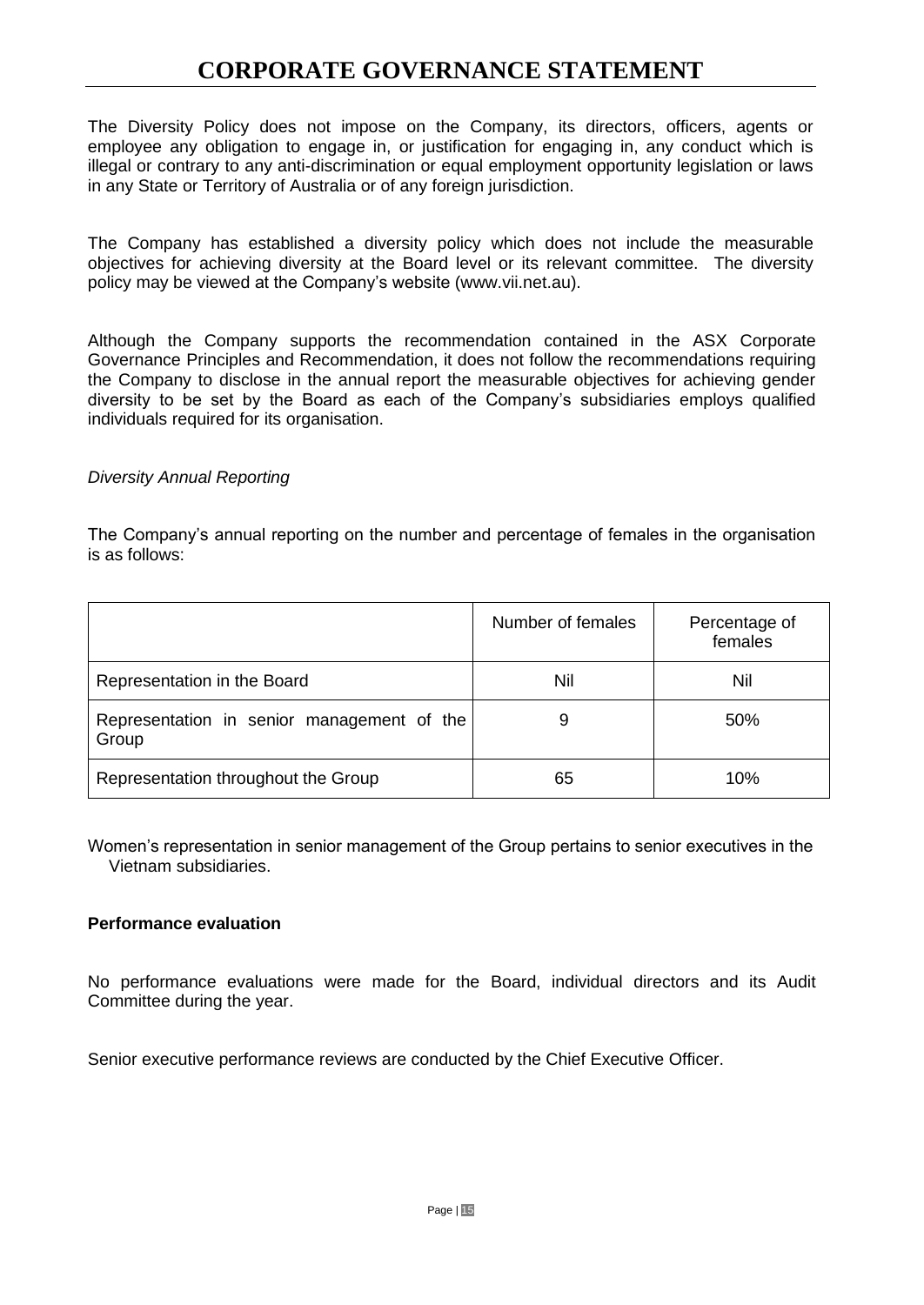The Diversity Policy does not impose on the Company, its directors, officers, agents or employee any obligation to engage in, or justification for engaging in, any conduct which is illegal or contrary to any anti-discrimination or equal employment opportunity legislation or laws in any State or Territory of Australia or of any foreign jurisdiction.

The Company has established a diversity policy which does not include the measurable objectives for achieving diversity at the Board level or its relevant committee. The diversity policy may be viewed at the Company's website [\(www.vii.net.au\)](http://www.vii.net.au/).

Although the Company supports the recommendation contained in the ASX Corporate Governance Principles and Recommendation, it does not follow the recommendations requiring the Company to disclose in the annual report the measurable objectives for achieving gender diversity to be set by the Board as each of the Company's subsidiaries employs qualified individuals required for its organisation.

#### *Diversity Annual Reporting*

The Company's annual reporting on the number and percentage of females in the organisation is as follows:

|                                                     | Number of females | Percentage of<br>females |
|-----------------------------------------------------|-------------------|--------------------------|
| Representation in the Board                         | Nil               | Nil                      |
| Representation in senior management of the<br>Group | 9                 | 50%                      |
| Representation throughout the Group                 | 65                | 10%                      |

Women's representation in senior management of the Group pertains to senior executives in the Vietnam subsidiaries.

#### **Performance evaluation**

No performance evaluations were made for the Board, individual directors and its Audit Committee during the year.

Senior executive performance reviews are conducted by the Chief Executive Officer.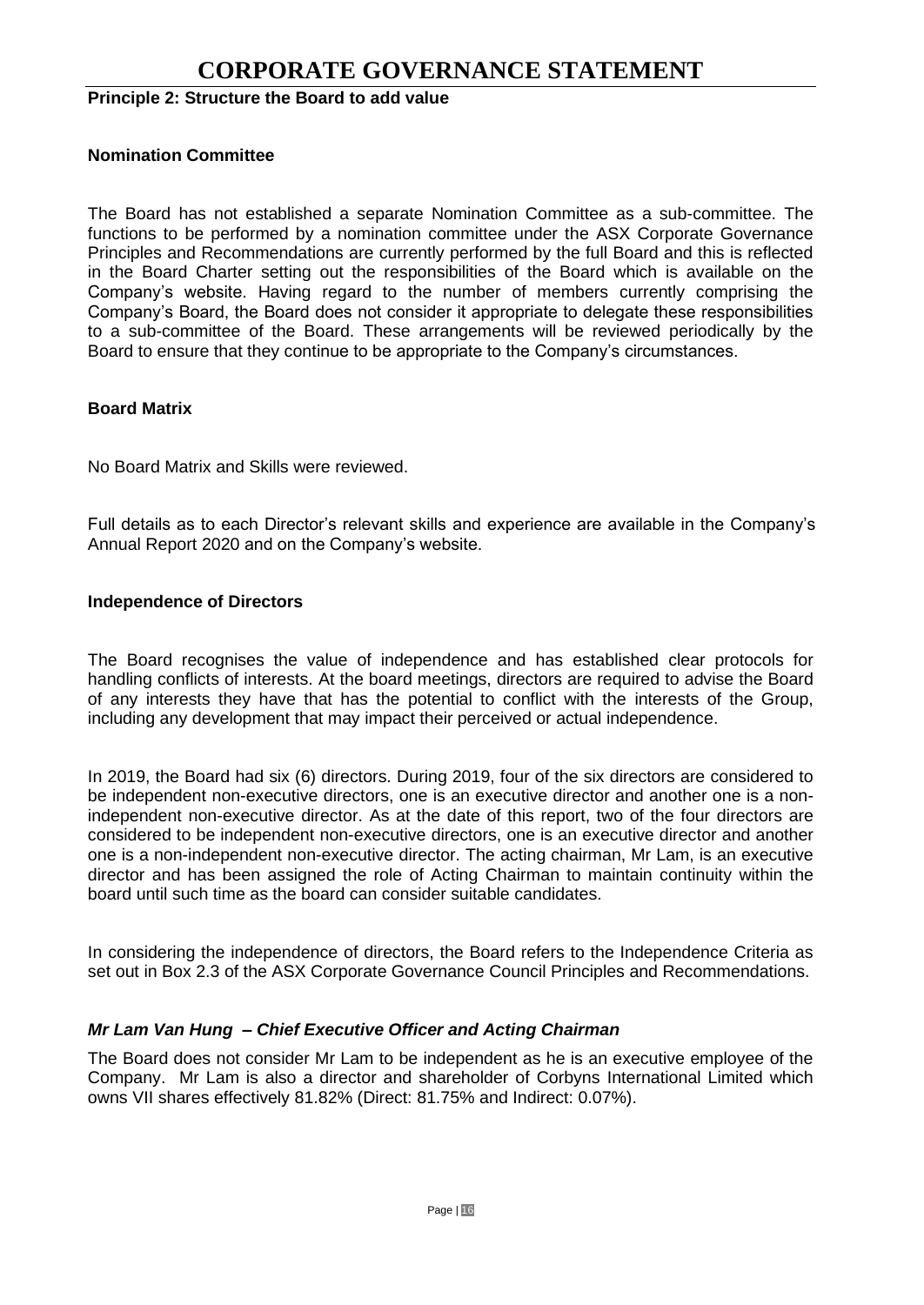## **Principle 2: Structure the Board to add value**

#### **Nomination Committee**

The Board has not established a separate Nomination Committee as a sub-committee. The functions to be performed by a nomination committee under the ASX Corporate Governance Principles and Recommendations are currently performed by the full Board and this is reflected in the Board Charter setting out the responsibilities of the Board which is available on the Company's website. Having regard to the number of members currently comprising the Company's Board, the Board does not consider it appropriate to delegate these responsibilities to a sub-committee of the Board. These arrangements will be reviewed periodically by the Board to ensure that they continue to be appropriate to the Company's circumstances.

#### **Board Matrix**

No Board Matrix and Skills were reviewed.

Full details as to each Director's relevant skills and experience are available in the Company's Annual Report 2020 and on the Company's website.

#### **Independence of Directors**

The Board recognises the value of independence and has established clear protocols for handling conflicts of interests. At the board meetings, directors are required to advise the Board of any interests they have that has the potential to conflict with the interests of the Group, including any development that may impact their perceived or actual independence.

In 2019, the Board had six (6) directors. During 2019, four of the six directors are considered to be independent non-executive directors, one is an executive director and another one is a nonindependent non-executive director. As at the date of this report, two of the four directors are considered to be independent non-executive directors, one is an executive director and another one is a non-independent non-executive director. The acting chairman, Mr Lam, is an executive director and has been assigned the role of Acting Chairman to maintain continuity within the board until such time as the board can consider suitable candidates.

In considering the independence of directors, the Board refers to the Independence Criteria as set out in Box 2.3 of the ASX Corporate Governance Council Principles and Recommendations.

#### *Mr Lam Van Hung – Chief Executive Officer and Acting Chairman*

The Board does not consider Mr Lam to be independent as he is an executive employee of the Company. Mr Lam is also a director and shareholder of Corbyns International Limited which owns VII shares effectively 81.82% (Direct: 81.75% and Indirect: 0.07%).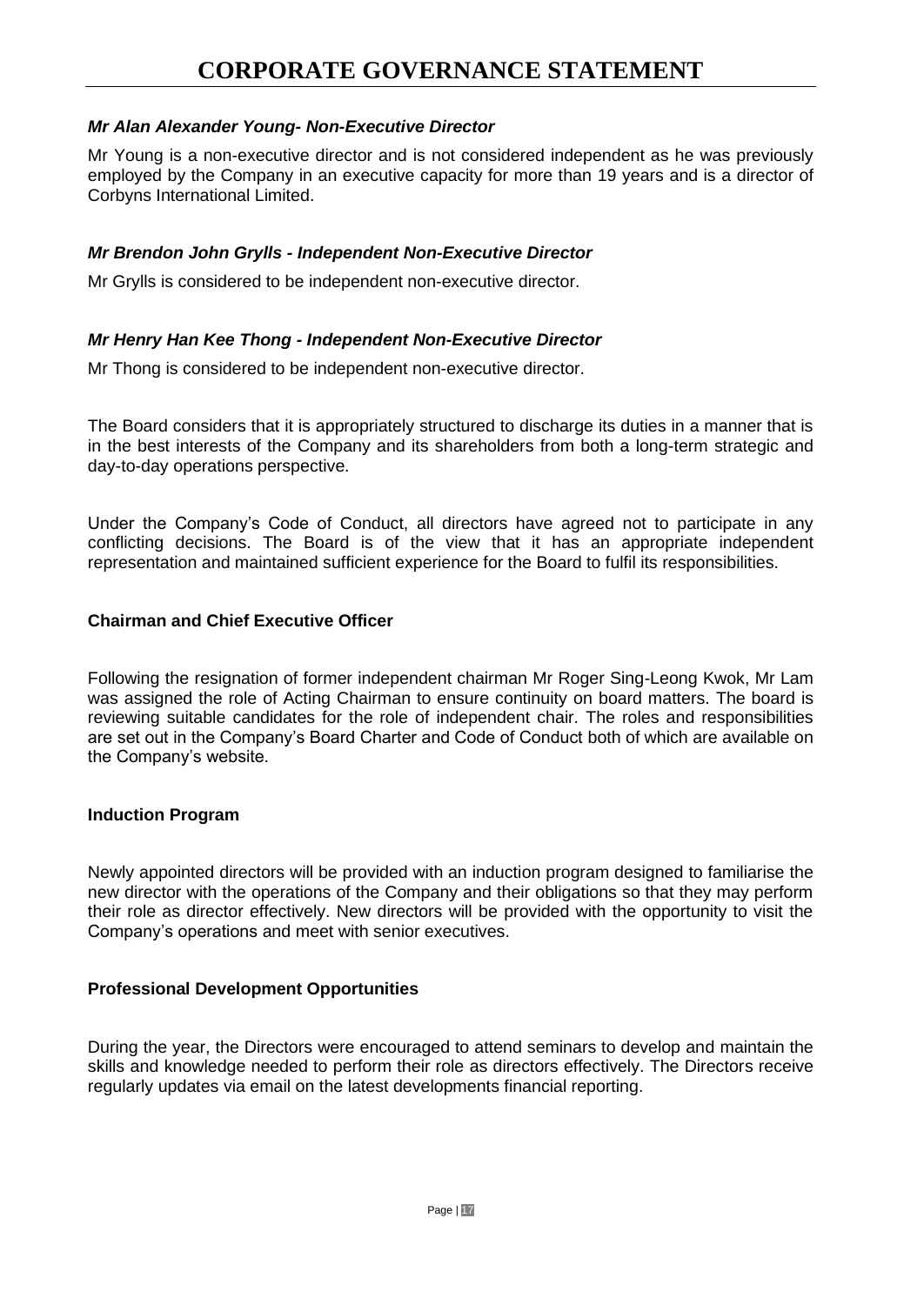## *Mr Alan Alexander Young- Non-Executive Director*

Mr Young is a non-executive director and is not considered independent as he was previously employed by the Company in an executive capacity for more than 19 years and is a director of Corbyns International Limited.

#### *Mr Brendon John Grylls - Independent Non-Executive Director*

Mr Grylls is considered to be independent non-executive director.

#### *Mr Henry Han Kee Thong - Independent Non-Executive Director*

Mr Thong is considered to be independent non-executive director.

The Board considers that it is appropriately structured to discharge its duties in a manner that is in the best interests of the Company and its shareholders from both a long-term strategic and day-to-day operations perspective.

Under the Company's Code of Conduct, all directors have agreed not to participate in any conflicting decisions. The Board is of the view that it has an appropriate independent representation and maintained sufficient experience for the Board to fulfil its responsibilities.

#### **Chairman and Chief Executive Officer**

Following the resignation of former independent chairman Mr Roger Sing-Leong Kwok, Mr Lam was assigned the role of Acting Chairman to ensure continuity on board matters. The board is reviewing suitable candidates for the role of independent chair. The roles and responsibilities are set out in the Company's Board Charter and Code of Conduct both of which are available on the Company's website.

#### **Induction Program**

Newly appointed directors will be provided with an induction program designed to familiarise the new director with the operations of the Company and their obligations so that they may perform their role as director effectively. New directors will be provided with the opportunity to visit the Company's operations and meet with senior executives.

#### **Professional Development Opportunities**

During the year, the Directors were encouraged to attend seminars to develop and maintain the skills and knowledge needed to perform their role as directors effectively. The Directors receive regularly updates via email on the latest developments financial reporting.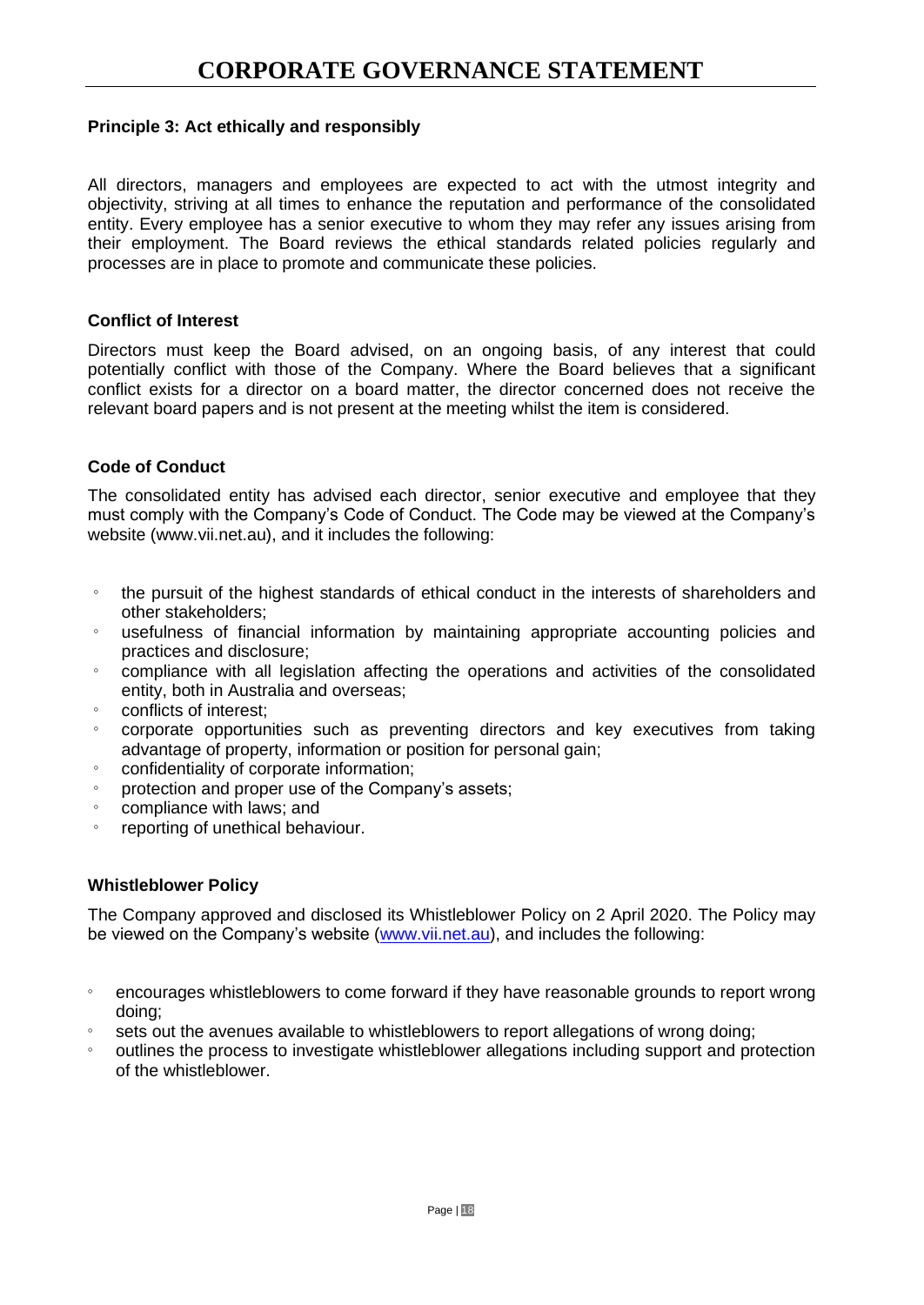### **Principle 3: Act ethically and responsibly**

All directors, managers and employees are expected to act with the utmost integrity and objectivity, striving at all times to enhance the reputation and performance of the consolidated entity. Every employee has a senior executive to whom they may refer any issues arising from their employment. The Board reviews the ethical standards related policies regularly and processes are in place to promote and communicate these policies.

#### **Conflict of Interest**

Directors must keep the Board advised, on an ongoing basis, of any interest that could potentially conflict with those of the Company. Where the Board believes that a significant conflict exists for a director on a board matter, the director concerned does not receive the relevant board papers and is not present at the meeting whilst the item is considered.

#### **Code of Conduct**

The consolidated entity has advised each director, senior executive and employee that they must comply with the Company's Code of Conduct. The Code may be viewed at the Company's website (www.vii.net.au), and it includes the following:

- the pursuit of the highest standards of ethical conduct in the interests of shareholders and other stakeholders;
- usefulness of financial information by maintaining appropriate accounting policies and practices and disclosure;
- compliance with all legislation affecting the operations and activities of the consolidated entity, both in Australia and overseas;
- conflicts of interest;
- corporate opportunities such as preventing directors and key executives from taking advantage of property, information or position for personal gain;
- confidentiality of corporate information;
- protection and proper use of the Company's assets;
- compliance with laws; and
- reporting of unethical behaviour.

#### **Whistleblower Policy**

The Company approved and disclosed its Whistleblower Policy on 2 April 2020. The Policy may be viewed on the Company's website [\(www.vii.net.au\)](http://www.vii.net.au/), and includes the following:

- encourages whistleblowers to come forward if they have reasonable grounds to report wrong doing;
- sets out the avenues available to whistleblowers to report allegations of wrong doing;
- outlines the process to investigate whistleblower allegations including support and protection of the whistleblower.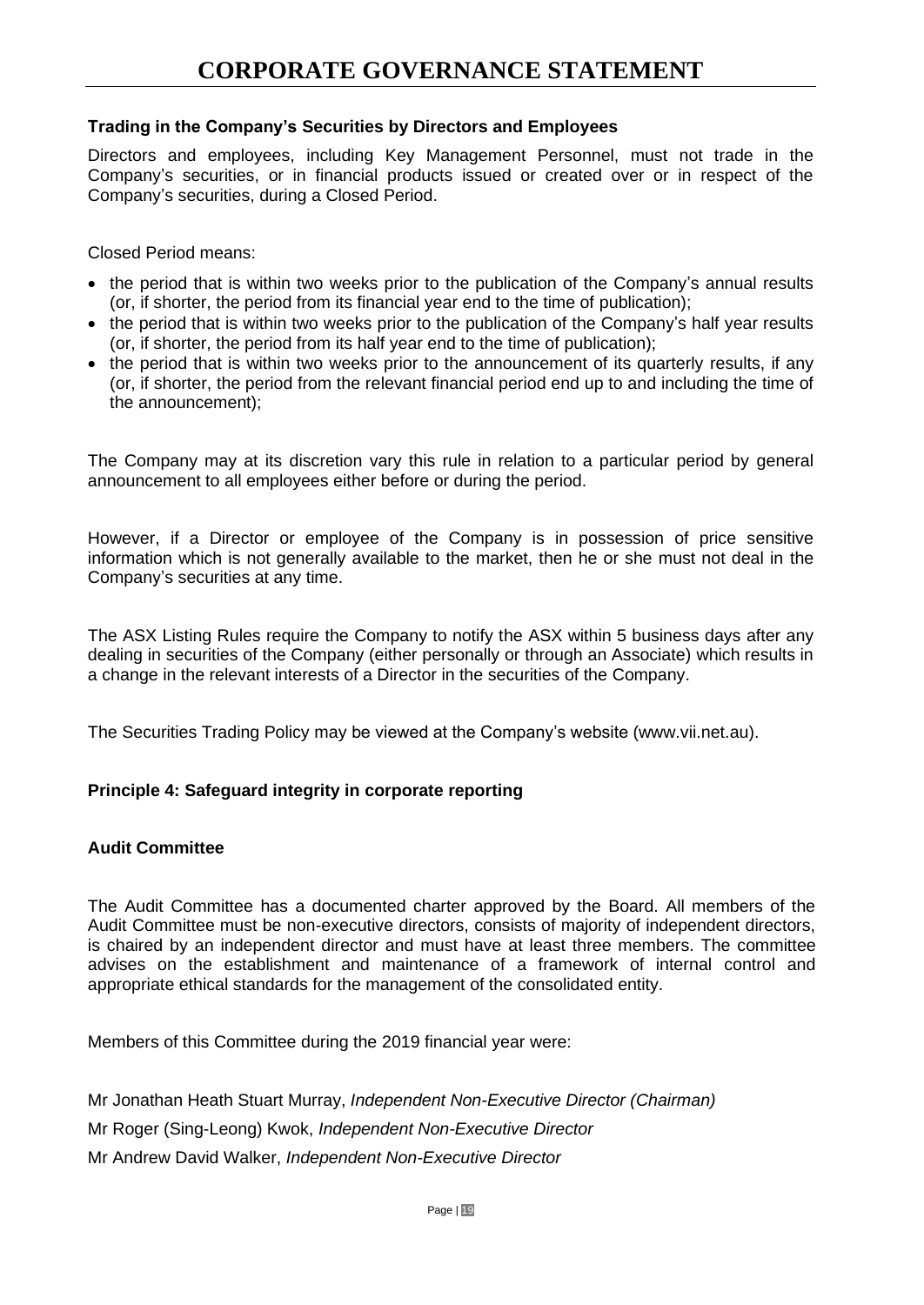## **Trading in the Company's Securities by Directors and Employees**

Directors and employees, including Key Management Personnel, must not trade in the Company's securities, or in financial products issued or created over or in respect of the Company's securities, during a Closed Period.

Closed Period means:

- the period that is within two weeks prior to the publication of the Company's annual results (or, if shorter, the period from its financial year end to the time of publication);
- the period that is within two weeks prior to the publication of the Company's half year results (or, if shorter, the period from its half year end to the time of publication);
- the period that is within two weeks prior to the announcement of its quarterly results, if any (or, if shorter, the period from the relevant financial period end up to and including the time of the announcement);

The Company may at its discretion vary this rule in relation to a particular period by general announcement to all employees either before or during the period.

However, if a Director or employee of the Company is in possession of price sensitive information which is not generally available to the market, then he or she must not deal in the Company's securities at any time.

The ASX Listing Rules require the Company to notify the ASX within 5 business days after any dealing in securities of the Company (either personally or through an Associate) which results in a change in the relevant interests of a Director in the securities of the Company.

The Securities Trading Policy may be viewed at the Company's website [\(www.vii.net.au\)](http://www.vii.net.au/).

#### **Principle 4: Safeguard integrity in corporate reporting**

#### **Audit Committee**

The Audit Committee has a documented charter approved by the Board. All members of the Audit Committee must be non-executive directors, consists of majority of independent directors, is chaired by an independent director and must have at least three members. The committee advises on the establishment and maintenance of a framework of internal control and appropriate ethical standards for the management of the consolidated entity.

Members of this Committee during the 2019 financial year were:

Mr Jonathan Heath Stuart Murray, *Independent Non-Executive Director (Chairman)* Mr Roger (Sing-Leong) Kwok, *Independent Non-Executive Director* Mr Andrew David Walker, *Independent Non-Executive Director*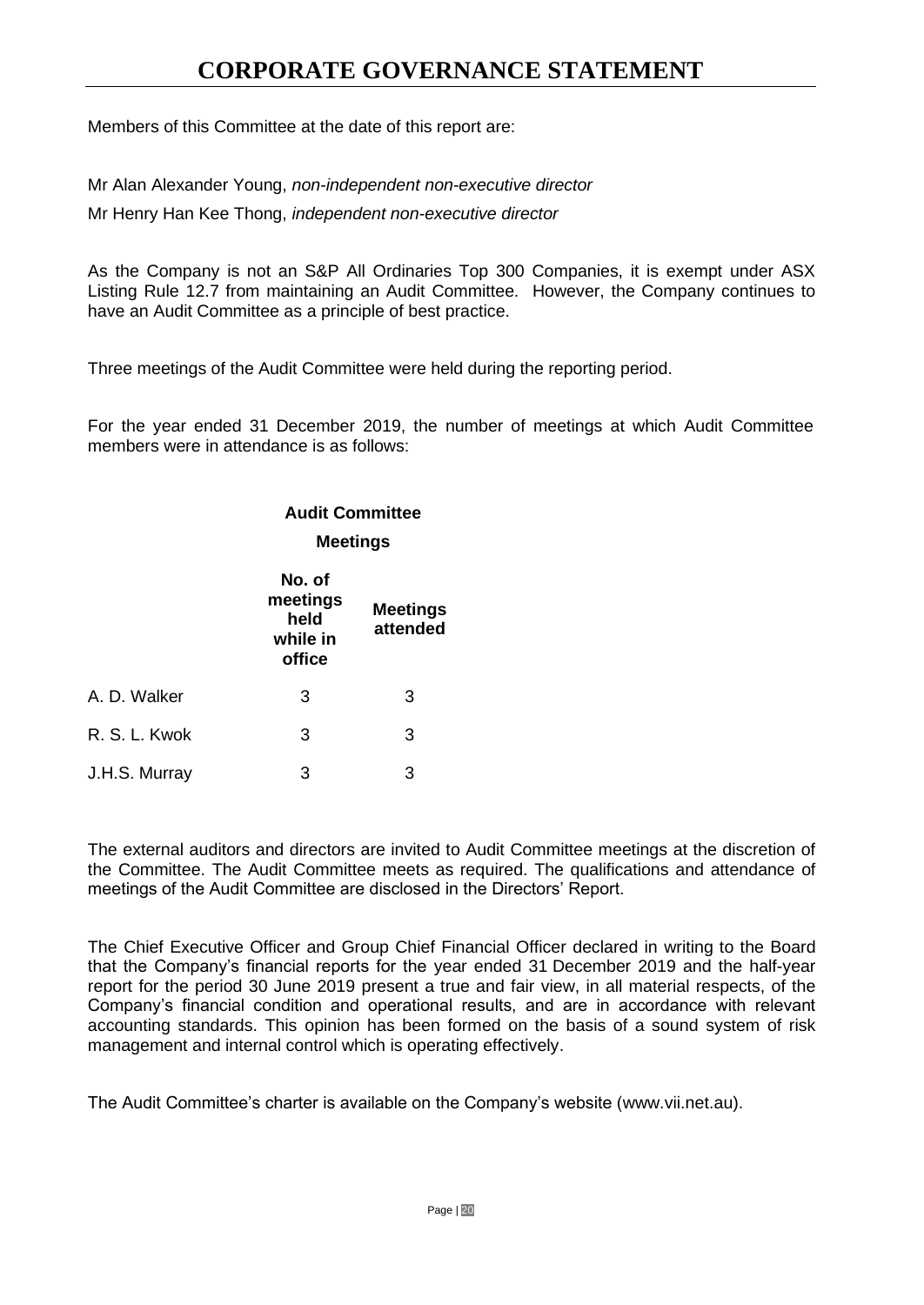Members of this Committee at the date of this report are:

Mr Alan Alexander Young, *non-independent non-executive director*

Mr Henry Han Kee Thong, *independent non-executive director*

As the Company is not an S&P All Ordinaries Top 300 Companies, it is exempt under ASX Listing Rule 12.7 from maintaining an Audit Committee. However, the Company continues to have an Audit Committee as a principle of best practice.

Three meetings of the Audit Committee were held during the reporting period.

For the year ended 31 December 2019, the number of meetings at which Audit Committee members were in attendance is as follows:

#### **Audit Committee**

#### **Meetings**

|               | No. of<br>meetings<br>held<br>while in<br>office | <b>Meetings</b><br>attended |
|---------------|--------------------------------------------------|-----------------------------|
| A. D. Walker  | 3                                                | 3                           |
| R. S. L. Kwok | 3                                                | 3                           |
| J.H.S. Murray | 3                                                | 3                           |

The external auditors and directors are invited to Audit Committee meetings at the discretion of the Committee. The Audit Committee meets as required. The qualifications and attendance of meetings of the Audit Committee are disclosed in the Directors' Report.

The Chief Executive Officer and Group Chief Financial Officer declared in writing to the Board that the Company's financial reports for the year ended 31 December 2019 and the half-year report for the period 30 June 2019 present a true and fair view, in all material respects, of the Company's financial condition and operational results, and are in accordance with relevant accounting standards. This opinion has been formed on the basis of a sound system of risk management and internal control which is operating effectively.

The Audit Committee's charter is available on the Company's website [\(www.vii.net.au\)](http://www.vii.net.au/).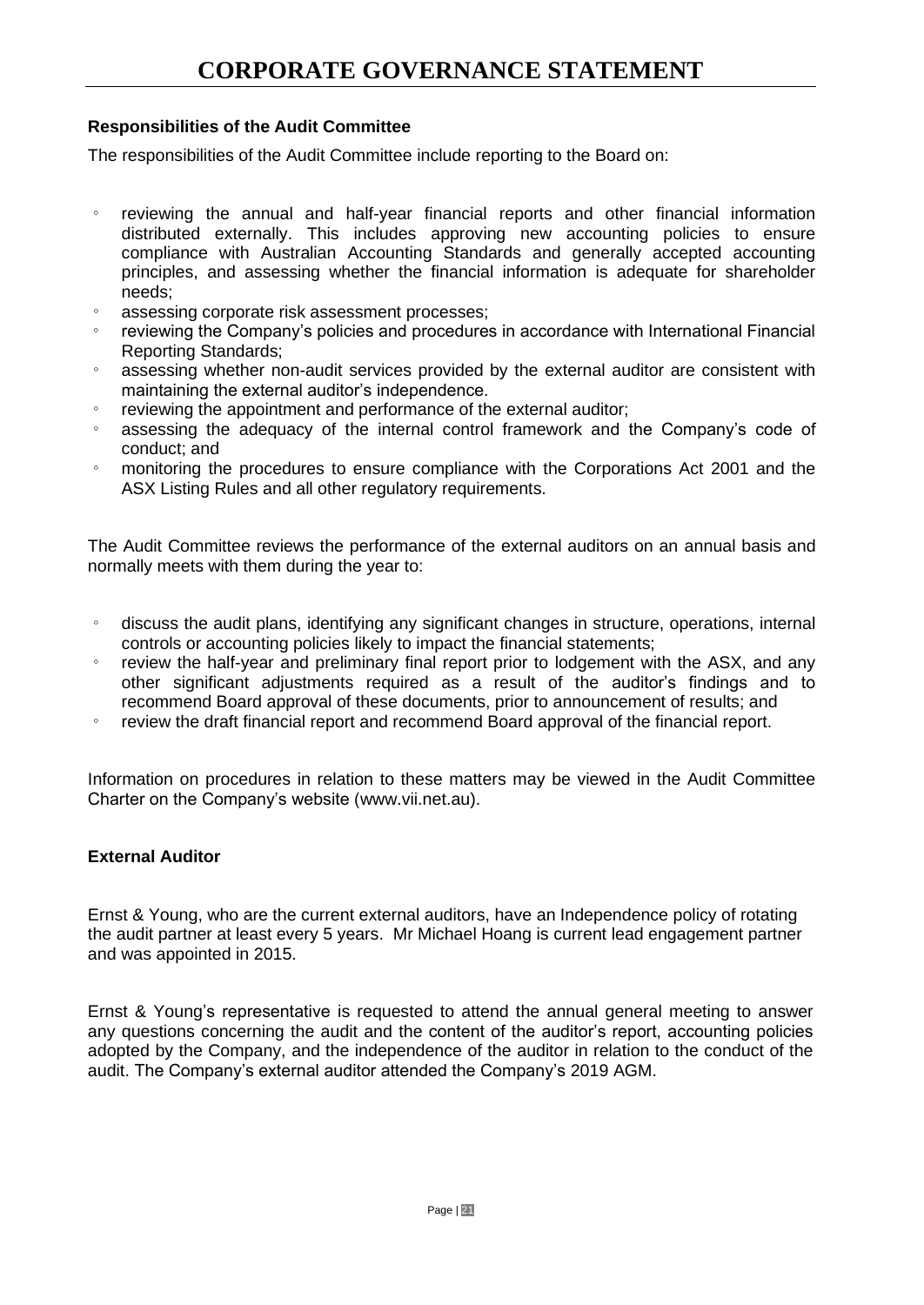## **Responsibilities of the Audit Committee**

The responsibilities of the Audit Committee include reporting to the Board on:

- reviewing the annual and half-year financial reports and other financial information distributed externally. This includes approving new accounting policies to ensure compliance with Australian Accounting Standards and generally accepted accounting principles, and assessing whether the financial information is adequate for shareholder needs;
- assessing corporate risk assessment processes;
- reviewing the Company's policies and procedures in accordance with International Financial Reporting Standards;
- assessing whether non-audit services provided by the external auditor are consistent with maintaining the external auditor's independence.
- reviewing the appointment and performance of the external auditor;
- assessing the adequacy of the internal control framework and the Company's code of conduct; and
- monitoring the procedures to ensure compliance with the Corporations Act 2001 and the ASX Listing Rules and all other regulatory requirements.

The Audit Committee reviews the performance of the external auditors on an annual basis and normally meets with them during the year to:

- discuss the audit plans, identifying any significant changes in structure, operations, internal controls or accounting policies likely to impact the financial statements;
- review the half-year and preliminary final report prior to lodgement with the ASX, and any other significant adjustments required as a result of the auditor's findings and to recommend Board approval of these documents, prior to announcement of results; and
- review the draft financial report and recommend Board approval of the financial report.

Information on procedures in relation to these matters may be viewed in the Audit Committee Charter on the Company's website [\(www.vii.net.au\)](http://www.vii.net.au/).

## **External Auditor**

Ernst & Young, who are the current external auditors, have an Independence policy of rotating the audit partner at least every 5 years. Mr Michael Hoang is current lead engagement partner and was appointed in 2015.

Ernst & Young's representative is requested to attend the annual general meeting to answer any questions concerning the audit and the content of the auditor's report, accounting policies adopted by the Company, and the independence of the auditor in relation to the conduct of the audit. The Company's external auditor attended the Company's 2019 AGM.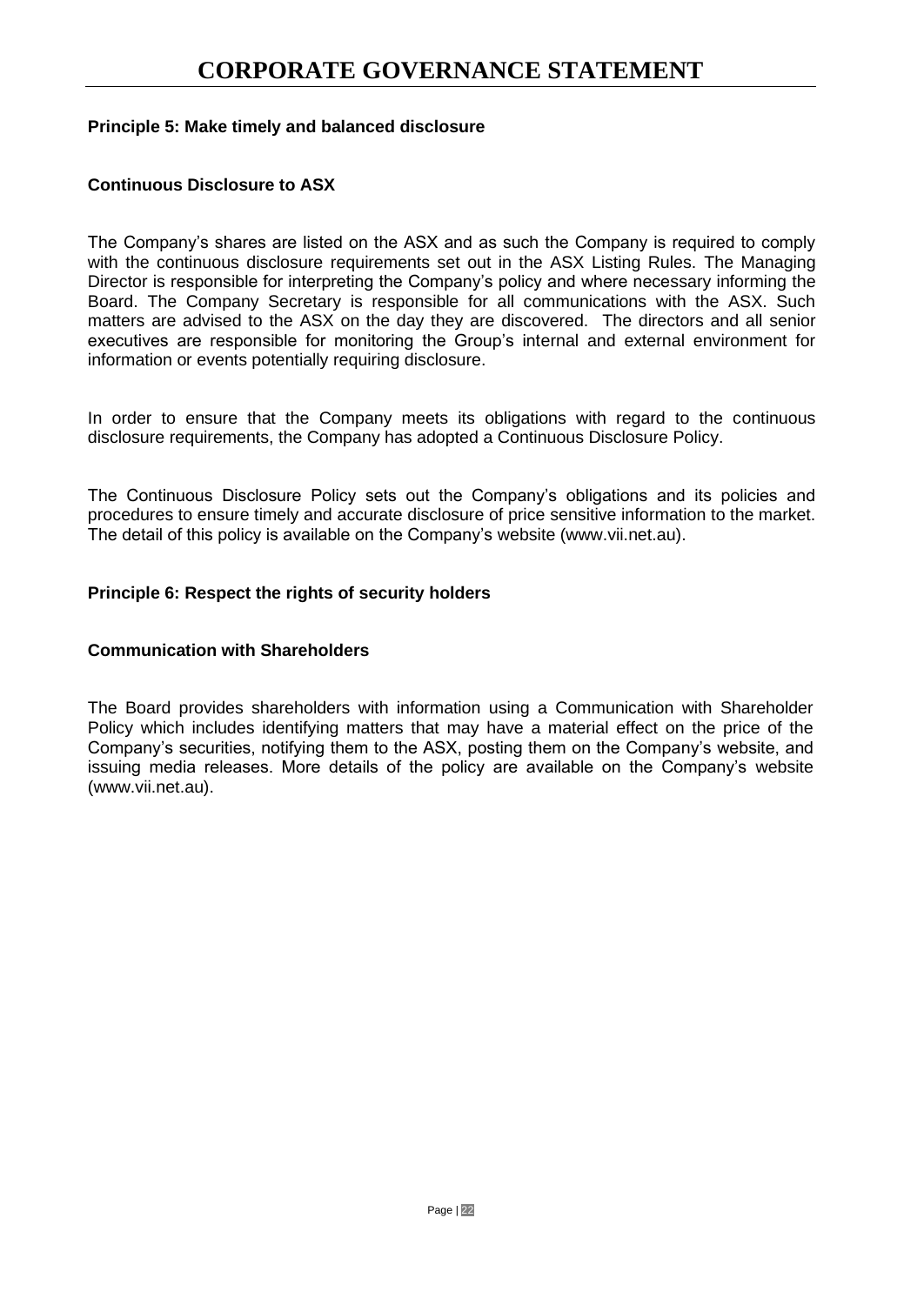### **Principle 5: Make timely and balanced disclosure**

### **Continuous Disclosure to ASX**

The Company's shares are listed on the ASX and as such the Company is required to comply with the continuous disclosure requirements set out in the ASX Listing Rules. The Managing Director is responsible for interpreting the Company's policy and where necessary informing the Board. The Company Secretary is responsible for all communications with the ASX. Such matters are advised to the ASX on the day they are discovered. The directors and all senior executives are responsible for monitoring the Group's internal and external environment for information or events potentially requiring disclosure.

In order to ensure that the Company meets its obligations with regard to the continuous disclosure requirements, the Company has adopted a Continuous Disclosure Policy.

The Continuous Disclosure Policy sets out the Company's obligations and its policies and procedures to ensure timely and accurate disclosure of price sensitive information to the market. The detail of this policy is available on the Company's website [\(www.vii.net.au\)](http://www.vii.net.au/).

#### **Principle 6: Respect the rights of security holders**

#### **Communication with Shareholders**

The Board provides shareholders with information using a Communication with Shareholder Policy which includes identifying matters that may have a material effect on the price of the Company's securities, notifying them to the ASX, posting them on the Company's website, and issuing media releases. More details of the policy are available on the Company's website [\(www.vii.net.au\)](http://www.vii.net.au/).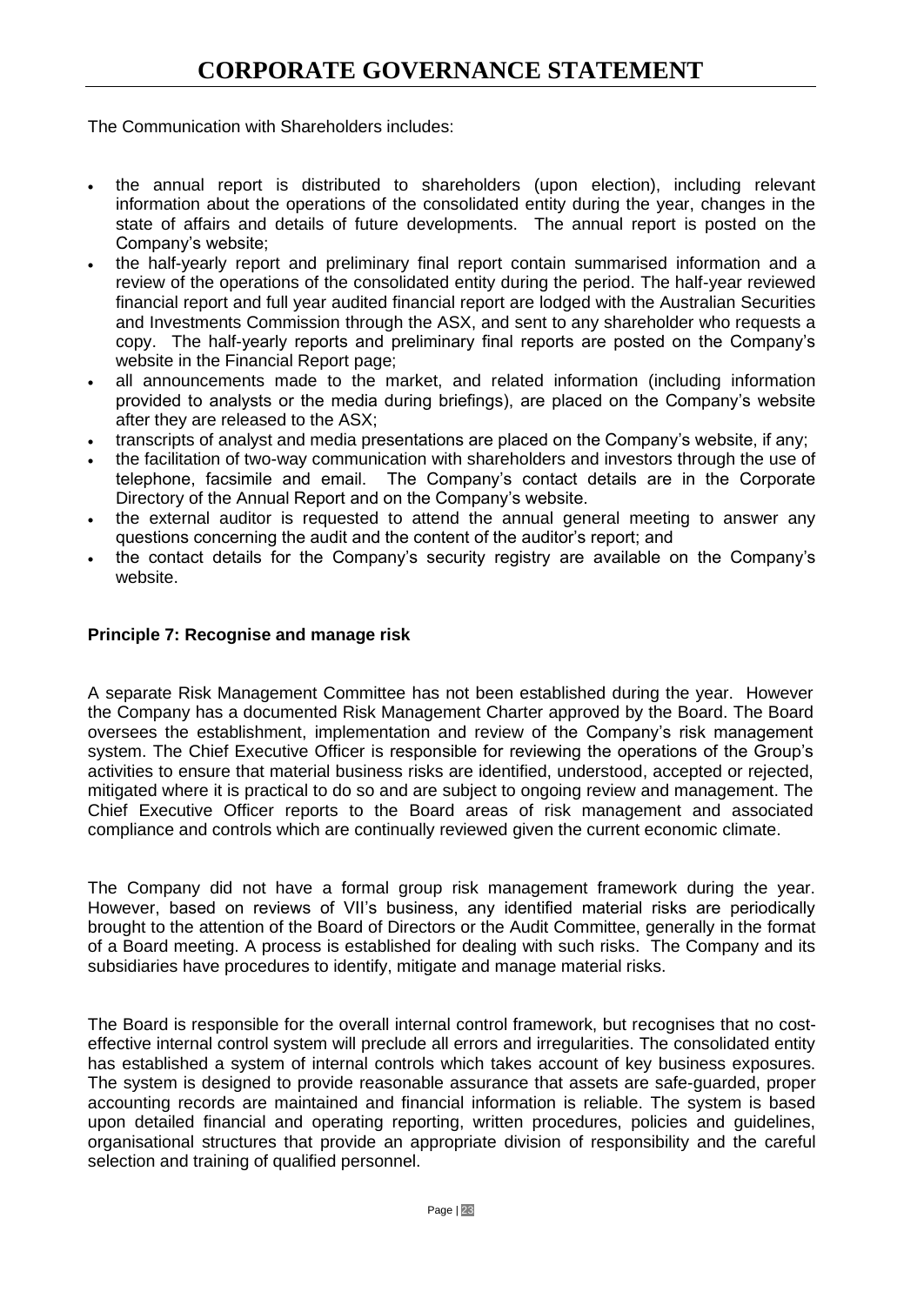The Communication with Shareholders includes:

- the annual report is distributed to shareholders (upon election), including relevant information about the operations of the consolidated entity during the year, changes in the state of affairs and details of future developments. The annual report is posted on the Company's website;
- the half-yearly report and preliminary final report contain summarised information and a review of the operations of the consolidated entity during the period. The half-year reviewed financial report and full year audited financial report are lodged with the Australian Securities and Investments Commission through the ASX, and sent to any shareholder who requests a copy. The half-yearly reports and preliminary final reports are posted on the Company's website in the Financial Report page;
- all announcements made to the market, and related information (including information provided to analysts or the media during briefings), are placed on the Company's website after they are released to the ASX;
- transcripts of analyst and media presentations are placed on the Company's website, if any;
- the facilitation of two-way communication with shareholders and investors through the use of telephone, facsimile and email. The Company's contact details are in the Corporate Directory of the Annual Report and on the Company's website.
- the external auditor is requested to attend the annual general meeting to answer any questions concerning the audit and the content of the auditor's report; and
- the contact details for the Company's security registry are available on the Company's website.

#### **Principle 7: Recognise and manage risk**

A separate Risk Management Committee has not been established during the year. However the Company has a documented Risk Management Charter approved by the Board. The Board oversees the establishment, implementation and review of the Company's risk management system. The Chief Executive Officer is responsible for reviewing the operations of the Group's activities to ensure that material business risks are identified, understood, accepted or rejected, mitigated where it is practical to do so and are subject to ongoing review and management. The Chief Executive Officer reports to the Board areas of risk management and associated compliance and controls which are continually reviewed given the current economic climate.

The Company did not have a formal group risk management framework during the year. However, based on reviews of VII's business, any identified material risks are periodically brought to the attention of the Board of Directors or the Audit Committee, generally in the format of a Board meeting. A process is established for dealing with such risks. The Company and its subsidiaries have procedures to identify, mitigate and manage material risks.

The Board is responsible for the overall internal control framework, but recognises that no costeffective internal control system will preclude all errors and irregularities. The consolidated entity has established a system of internal controls which takes account of key business exposures. The system is designed to provide reasonable assurance that assets are safe-guarded, proper accounting records are maintained and financial information is reliable. The system is based upon detailed financial and operating reporting, written procedures, policies and guidelines, organisational structures that provide an appropriate division of responsibility and the careful selection and training of qualified personnel.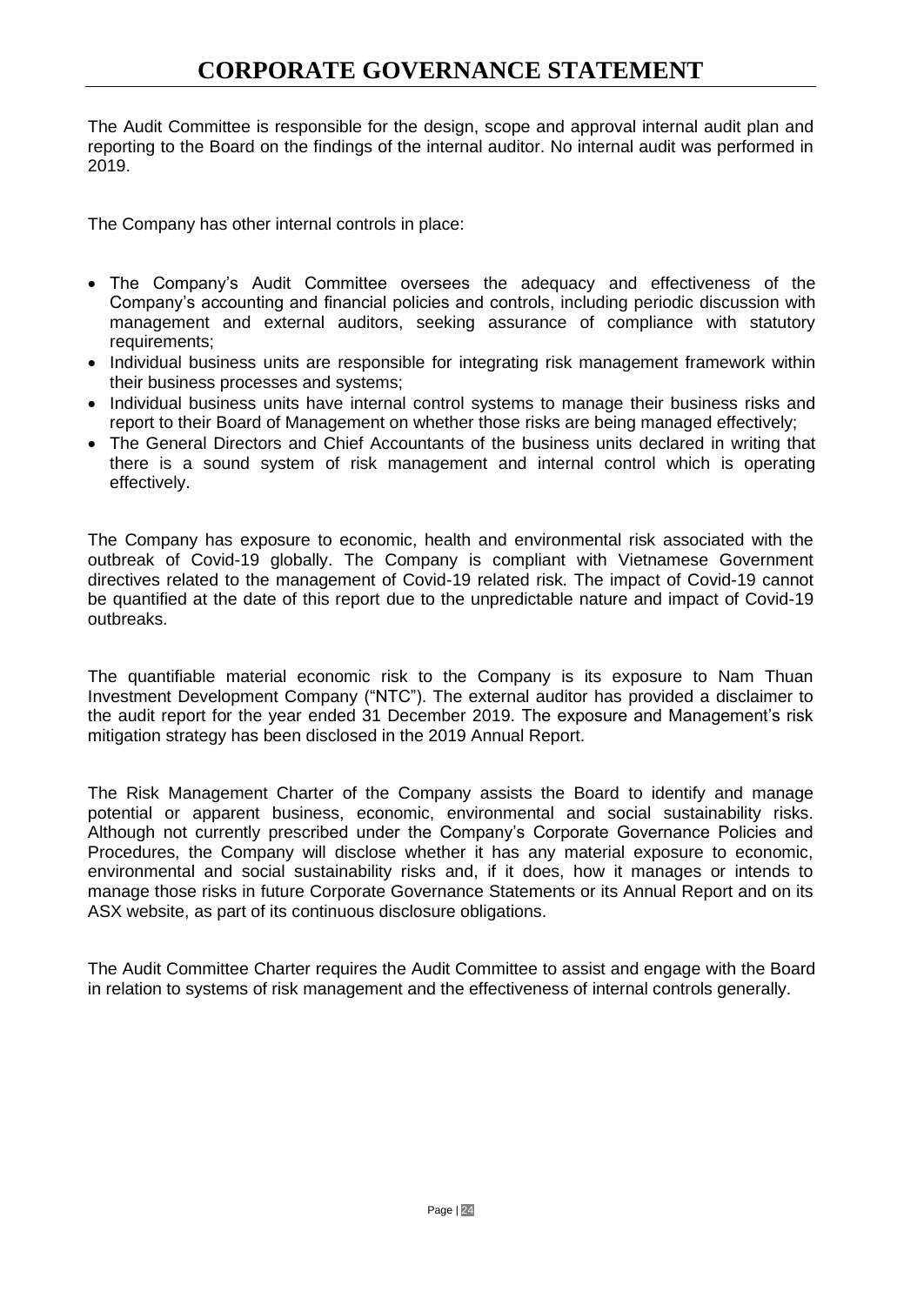The Audit Committee is responsible for the design, scope and approval internal audit plan and reporting to the Board on the findings of the internal auditor. No internal audit was performed in 2019.

The Company has other internal controls in place:

- The Company's Audit Committee oversees the adequacy and effectiveness of the Company's accounting and financial policies and controls, including periodic discussion with management and external auditors, seeking assurance of compliance with statutory requirements;
- Individual business units are responsible for integrating risk management framework within their business processes and systems;
- Individual business units have internal control systems to manage their business risks and report to their Board of Management on whether those risks are being managed effectively;
- The General Directors and Chief Accountants of the business units declared in writing that there is a sound system of risk management and internal control which is operating effectively.

The Company has exposure to economic, health and environmental risk associated with the outbreak of Covid-19 globally. The Company is compliant with Vietnamese Government directives related to the management of Covid-19 related risk. The impact of Covid-19 cannot be quantified at the date of this report due to the unpredictable nature and impact of Covid-19 outbreaks.

The quantifiable material economic risk to the Company is its exposure to Nam Thuan Investment Development Company ("NTC"). The external auditor has provided a disclaimer to the audit report for the year ended 31 December 2019. The exposure and Management's risk mitigation strategy has been disclosed in the 2019 Annual Report.

The Risk Management Charter of the Company assists the Board to identify and manage potential or apparent business, economic, environmental and social sustainability risks. Although not currently prescribed under the Company's Corporate Governance Policies and Procedures, the Company will disclose whether it has any material exposure to economic, environmental and social sustainability risks and, if it does, how it manages or intends to manage those risks in future Corporate Governance Statements or its Annual Report and on its ASX website, as part of its continuous disclosure obligations.

The Audit Committee Charter requires the Audit Committee to assist and engage with the Board in relation to systems of risk management and the effectiveness of internal controls generally.